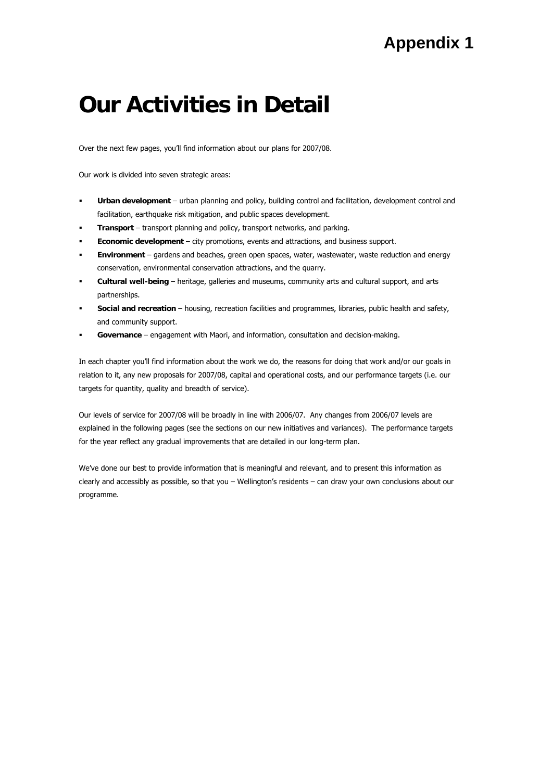# **Our Activities in Detail**

Over the next few pages, you'll find information about our plans for 2007/08.

Our work is divided into seven strategic areas:

- **Urban development** urban planning and policy, building control and facilitation, development control and facilitation, earthquake risk mitigation, and public spaces development.
- **Transport** transport planning and policy, transport networks, and parking.
- **Economic development** city promotions, events and attractions, and business support.
- **Environment** gardens and beaches, green open spaces, water, wastewater, waste reduction and energy conservation, environmental conservation attractions, and the quarry.
- **Cultural well-being** heritage, galleries and museums, community arts and cultural support, and arts partnerships.
- **Social and recreation** housing, recreation facilities and programmes, libraries, public health and safety, and community support.
- **Governance** engagement with Maori, and information, consultation and decision-making.

In each chapter you'll find information about the work we do, the reasons for doing that work and/or our goals in relation to it, any new proposals for 2007/08, capital and operational costs, and our performance targets (i.e. our targets for quantity, quality and breadth of service).

Our levels of service for 2007/08 will be broadly in line with 2006/07. Any changes from 2006/07 levels are explained in the following pages (see the sections on our new initiatives and variances). The performance targets for the year reflect any gradual improvements that are detailed in our long-term plan.

We've done our best to provide information that is meaningful and relevant, and to present this information as clearly and accessibly as possible, so that you – Wellington's residents – can draw your own conclusions about our programme.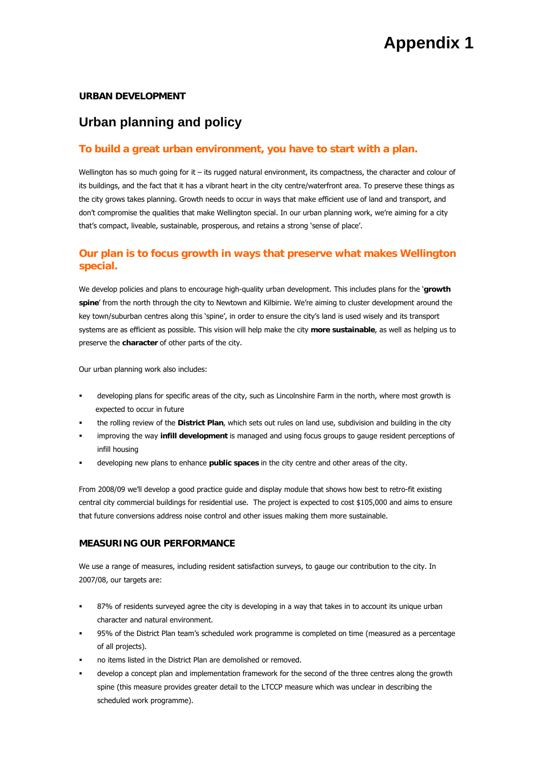### **URBAN DEVELOPMENT**

# **Urban planning and policy**

## **To build a great urban environment, you have to start with a plan.**

Wellington has so much going for it – its rugged natural environment, its compactness, the character and colour of its buildings, and the fact that it has a vibrant heart in the city centre/waterfront area. To preserve these things as the city grows takes planning. Growth needs to occur in ways that make efficient use of land and transport, and don't compromise the qualities that make Wellington special. In our urban planning work, we're aiming for a city that's compact, liveable, sustainable, prosperous, and retains a strong 'sense of place'.

## **Our plan is to focus growth in ways that preserve what makes Wellington special.**

We develop policies and plans to encourage high-quality urban development. This includes plans for the '**growth spine**' from the north through the city to Newtown and Kilbirnie. We're aiming to cluster development around the key town/suburban centres along this 'spine', in order to ensure the city's land is used wisely and its transport systems are as efficient as possible. This vision will help make the city **more sustainable**, as well as helping us to preserve the **character** of other parts of the city.

Our urban planning work also includes:

- developing plans for specific areas of the city, such as Lincolnshire Farm in the north, where most growth is expected to occur in future
- the rolling review of the **District Plan**, which sets out rules on land use, subdivision and building in the city
- improving the way **infill development** is managed and using focus groups to gauge resident perceptions of infill housing
- developing new plans to enhance **public spaces** in the city centre and other areas of the city.

From 2008/09 we'll develop a good practice guide and display module that shows how best to retro-fit existing central city commercial buildings for residential use. The project is expected to cost \$105,000 and aims to ensure that future conversions address noise control and other issues making them more sustainable.

#### **MEASURING OUR PERFORMANCE**

We use a range of measures, including resident satisfaction surveys, to gauge our contribution to the city. In 2007/08, our targets are:

- 87% of residents surveyed agree the city is developing in a way that takes in to account its unique urban character and natural environment.
- 95% of the District Plan team's scheduled work programme is completed on time (measured as a percentage of all projects).
- no items listed in the District Plan are demolished or removed.
- develop a concept plan and implementation framework for the second of the three centres along the growth spine (this measure provides greater detail to the LTCCP measure which was unclear in describing the scheduled work programme).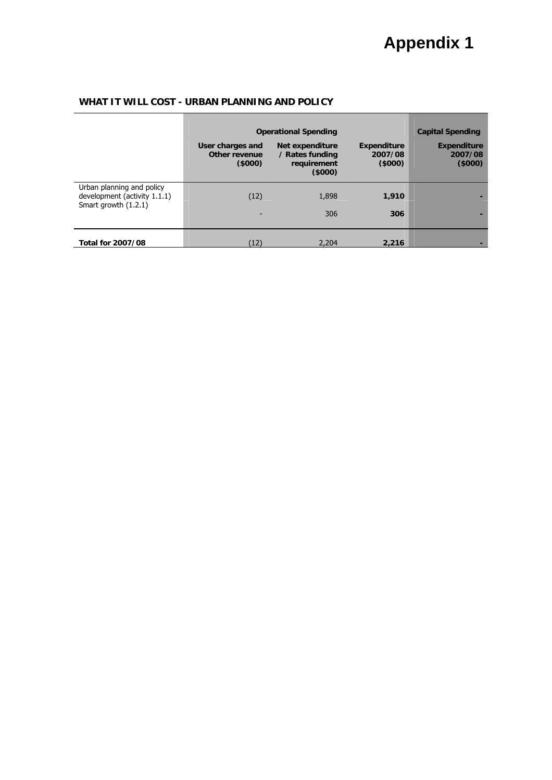|                                                           | <b>Operational Spending</b>                 | <b>Capital Spending</b>                                            |                                         |                                         |
|-----------------------------------------------------------|---------------------------------------------|--------------------------------------------------------------------|-----------------------------------------|-----------------------------------------|
|                                                           | User charges and<br>Other revenue<br>(5000) | <b>Net expenditure</b><br>/ Rates funding<br>requirement<br>(5000) | <b>Expenditure</b><br>2007/08<br>(5000) | <b>Expenditure</b><br>2007/08<br>(5000) |
| Urban planning and policy<br>development (activity 1.1.1) | (12)                                        | 1,898                                                              | 1,910                                   |                                         |
| Smart growth (1.2.1)                                      |                                             | 306                                                                | 306                                     |                                         |
| <b>Total for 2007/08</b>                                  | (12)                                        | 2,204                                                              | 2.216                                   |                                         |

## **WHAT IT WILL COST - URBAN PLANNING AND POLICY**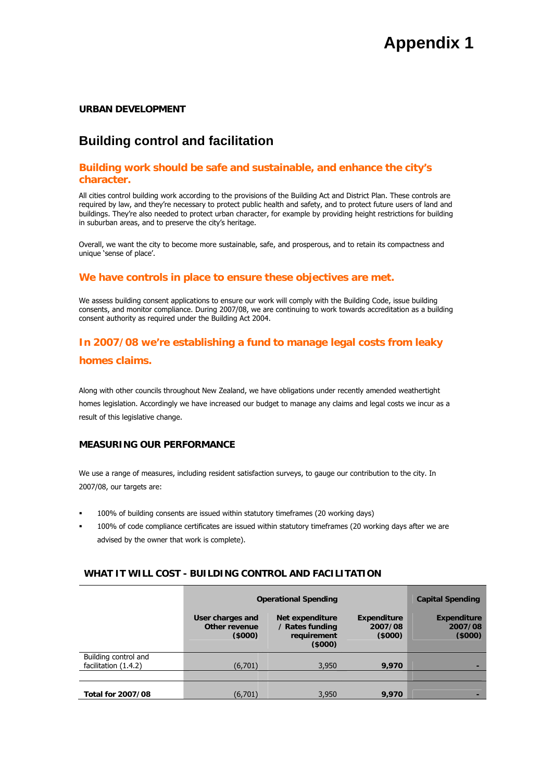### **URBAN DEVELOPMENT**

# **Building control and facilitation**

## **Building work should be safe and sustainable, and enhance the city's character.**

All cities control building work according to the provisions of the Building Act and District Plan. These controls are required by law, and they're necessary to protect public health and safety, and to protect future users of land and buildings. They're also needed to protect urban character, for example by providing height restrictions for building in suburban areas, and to preserve the city's heritage.

Overall, we want the city to become more sustainable, safe, and prosperous, and to retain its compactness and unique 'sense of place'.

#### **We have controls in place to ensure these objectives are met.**

We assess building consent applications to ensure our work will comply with the Building Code, issue building consents, and monitor compliance. During 2007/08, we are continuing to work towards accreditation as a building consent authority as required under the Building Act 2004.

## **In 2007/08 we're establishing a fund to manage legal costs from leaky**

#### **homes claims.**

Along with other councils throughout New Zealand, we have obligations under recently amended weathertight homes legislation. Accordingly we have increased our budget to manage any claims and legal costs we incur as a result of this legislative change.

#### **MEASURING OUR PERFORMANCE**

We use a range of measures, including resident satisfaction surveys, to gauge our contribution to the city. In 2007/08, our targets are:

- 100% of building consents are issued within statutory timeframes (20 working days)
- 100% of code compliance certificates are issued within statutory timeframes (20 working days after we are advised by the owner that work is complete).

### **WHAT IT WILL COST - BUILDING CONTROL AND FACILITATION**

|                                              | <b>Operational Spending</b>                 |                                                             |                                         | <b>Capital Spending</b>                 |
|----------------------------------------------|---------------------------------------------|-------------------------------------------------------------|-----------------------------------------|-----------------------------------------|
|                                              | User charges and<br>Other revenue<br>(5000) | Net expenditure<br>/ Rates funding<br>requirement<br>(5000) | <b>Expenditure</b><br>2007/08<br>(5000) | <b>Expenditure</b><br>2007/08<br>(5000) |
| Building control and<br>facilitation (1.4.2) | (6,701)                                     | 3,950                                                       | 9,970                                   |                                         |
|                                              |                                             |                                                             |                                         |                                         |
| <b>Total for 2007/08</b>                     | (6,701)                                     | 3,950                                                       | 9.970                                   | -                                       |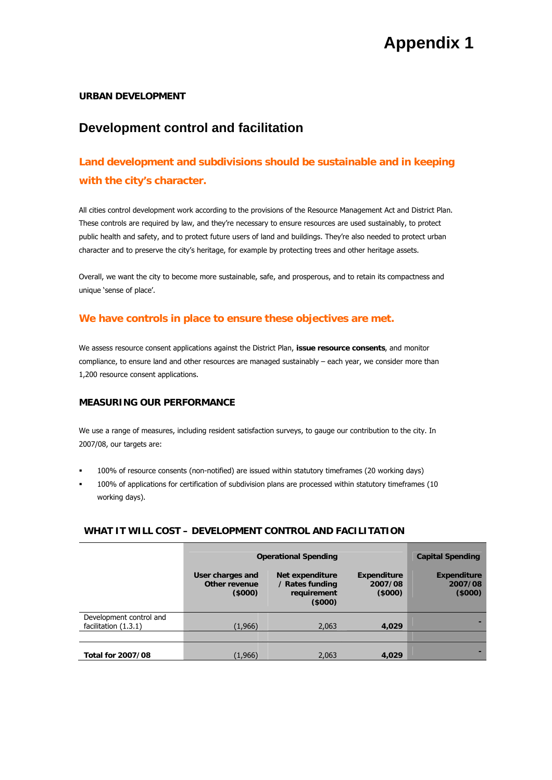### **URBAN DEVELOPMENT**

# **Development control and facilitation**

# **Land development and subdivisions should be sustainable and in keeping with the city's character.**

All cities control development work according to the provisions of the Resource Management Act and District Plan. These controls are required by law, and they're necessary to ensure resources are used sustainably, to protect public health and safety, and to protect future users of land and buildings. They're also needed to protect urban character and to preserve the city's heritage, for example by protecting trees and other heritage assets.

Overall, we want the city to become more sustainable, safe, and prosperous, and to retain its compactness and unique 'sense of place'.

## **We have controls in place to ensure these objectives are met.**

We assess resource consent applications against the District Plan, **issue resource consents**, and monitor compliance, to ensure land and other resources are managed sustainably – each year, we consider more than 1,200 resource consent applications.

## **MEASURING OUR PERFORMANCE**

We use a range of measures, including resident satisfaction surveys, to gauge our contribution to the city. In 2007/08, our targets are:

- 100% of resource consents (non-notified) are issued within statutory timeframes (20 working days)
- 100% of applications for certification of subdivision plans are processed within statutory timeframes (10 working days).

### **WHAT IT WILL COST – DEVELOPMENT CONTROL AND FACILITATION**

|                                                 | <b>Operational Spending</b>                 | <b>Capital Spending</b>                                     |                                         |                                         |
|-------------------------------------------------|---------------------------------------------|-------------------------------------------------------------|-----------------------------------------|-----------------------------------------|
|                                                 | User charges and<br>Other revenue<br>(5000) | Net expenditure<br>/ Rates funding<br>requirement<br>(5000) | <b>Expenditure</b><br>2007/08<br>(5000) | <b>Expenditure</b><br>2007/08<br>(5000) |
| Development control and<br>facilitation (1.3.1) | (1,966)                                     | 2.063                                                       | 4.029                                   |                                         |
|                                                 |                                             |                                                             |                                         |                                         |
| <b>Total for 2007/08</b>                        | (1,966)                                     | 2,063                                                       | 4,029                                   |                                         |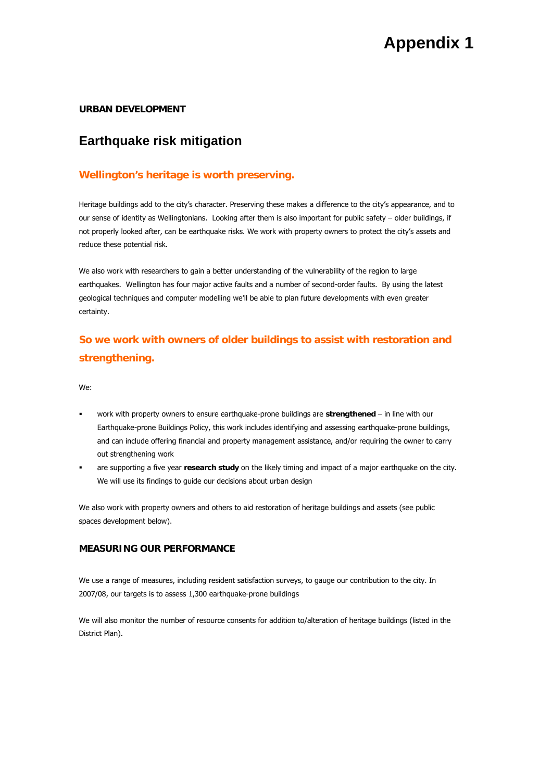### **URBAN DEVELOPMENT**

## **Earthquake risk mitigation**

## **Wellington's heritage is worth preserving.**

Heritage buildings add to the city's character. Preserving these makes a difference to the city's appearance, and to our sense of identity as Wellingtonians. Looking after them is also important for public safety – older buildings, if not properly looked after, can be earthquake risks. We work with property owners to protect the city's assets and reduce these potential risk.

We also work with researchers to gain a better understanding of the vulnerability of the region to large earthquakes. Wellington has four major active faults and a number of second-order faults. By using the latest geological techniques and computer modelling we'll be able to plan future developments with even greater certainty.

# **So we work with owners of older buildings to assist with restoration and strengthening.**

We:

- work with property owners to ensure earthquake-prone buildings are **strengthened** in line with our Earthquake-prone Buildings Policy, this work includes identifying and assessing earthquake-prone buildings, and can include offering financial and property management assistance, and/or requiring the owner to carry out strengthening work
- are supporting a five year **research study** on the likely timing and impact of a major earthquake on the city. We will use its findings to guide our decisions about urban design

We also work with property owners and others to aid restoration of heritage buildings and assets (see public spaces development below).

#### **MEASURING OUR PERFORMANCE**

We use a range of measures, including resident satisfaction surveys, to gauge our contribution to the city. In 2007/08, our targets is to assess 1,300 earthquake-prone buildings

We will also monitor the number of resource consents for addition to/alteration of heritage buildings (listed in the District Plan).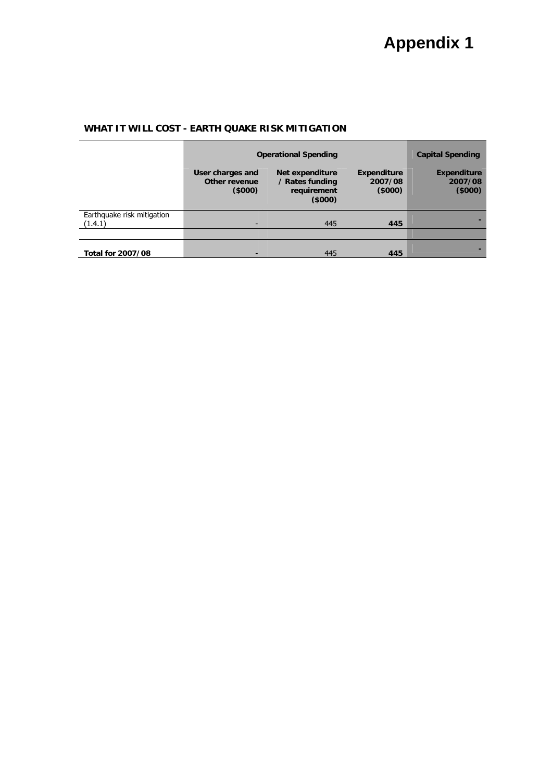## **WHAT IT WILL COST - EARTH QUAKE RISK MITIGATION**

|                            | <b>Operational Spending</b>                 |                                                             |                                         | <b>Capital Spending</b>                 |
|----------------------------|---------------------------------------------|-------------------------------------------------------------|-----------------------------------------|-----------------------------------------|
|                            | User charges and<br>Other revenue<br>(5000) | Net expenditure<br>/ Rates funding<br>requirement<br>(5000) | <b>Expenditure</b><br>2007/08<br>(5000) | <b>Expenditure</b><br>2007/08<br>(5000) |
| Earthquake risk mitigation |                                             |                                                             |                                         |                                         |
| (1.4.1)                    |                                             | 445                                                         | 445                                     |                                         |
|                            |                                             |                                                             |                                         |                                         |
| Total for 2007/08          |                                             | 445                                                         | 445                                     |                                         |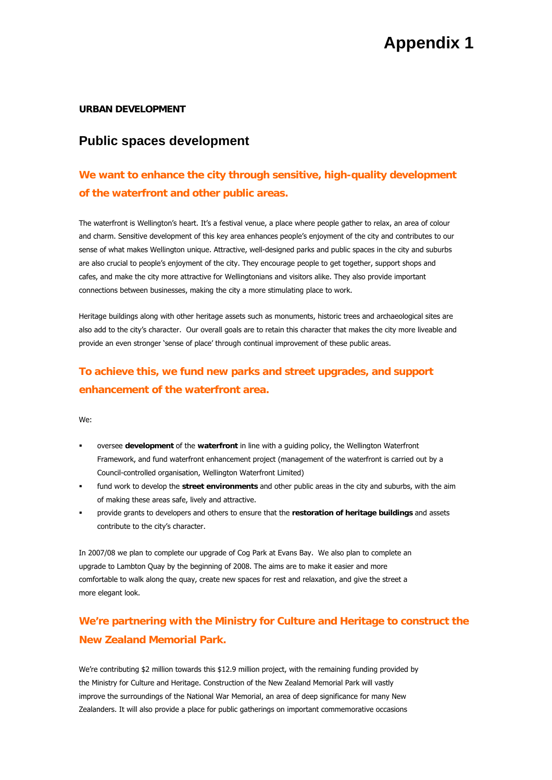#### **URBAN DEVELOPMENT**

## **Public spaces development**

# **We want to enhance the city through sensitive, high-quality development of the waterfront and other public areas.**

The waterfront is Wellington's heart. It's a festival venue, a place where people gather to relax, an area of colour and charm. Sensitive development of this key area enhances people's enjoyment of the city and contributes to our sense of what makes Wellington unique. Attractive, well-designed parks and public spaces in the city and suburbs are also crucial to people's enjoyment of the city. They encourage people to get together, support shops and cafes, and make the city more attractive for Wellingtonians and visitors alike. They also provide important connections between businesses, making the city a more stimulating place to work.

Heritage buildings along with other heritage assets such as monuments, historic trees and archaeological sites are also add to the city's character. Our overall goals are to retain this character that makes the city more liveable and provide an even stronger 'sense of place' through continual improvement of these public areas.

# **To achieve this, we fund new parks and street upgrades, and support enhancement of the waterfront area.**

We:

- oversee **development** of the **waterfront** in line with a guiding policy, the Wellington Waterfront Framework, and fund waterfront enhancement project (management of the waterfront is carried out by a Council-controlled organisation, Wellington Waterfront Limited)
- fund work to develop the **street environments** and other public areas in the city and suburbs, with the aim of making these areas safe, lively and attractive.
- provide grants to developers and others to ensure that the **restoration of heritage buildings** and assets contribute to the city's character.

In 2007/08 we plan to complete our upgrade of Cog Park at Evans Bay. We also plan to complete an upgrade to Lambton Quay by the beginning of 2008. The aims are to make it easier and more comfortable to walk along the quay, create new spaces for rest and relaxation, and give the street a more elegant look.

# **We're partnering with the Ministry for Culture and Heritage to construct the New Zealand Memorial Park.**

We're contributing \$2 million towards this \$12.9 million project, with the remaining funding provided by the Ministry for Culture and Heritage. Construction of the New Zealand Memorial Park will vastly improve the surroundings of the National War Memorial, an area of deep significance for many New Zealanders. It will also provide a place for public gatherings on important commemorative occasions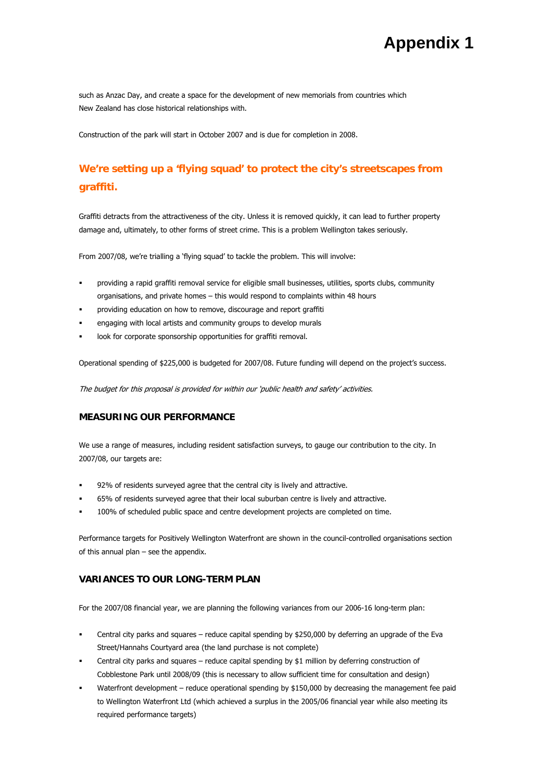such as Anzac Day, and create a space for the development of new memorials from countries which New Zealand has close historical relationships with.

Construction of the park will start in October 2007 and is due for completion in 2008.

# **We're setting up a 'flying squad' to protect the city's streetscapes from graffiti.**

Graffiti detracts from the attractiveness of the city. Unless it is removed quickly, it can lead to further property damage and, ultimately, to other forms of street crime. This is a problem Wellington takes seriously.

From 2007/08, we're trialling a 'flying squad' to tackle the problem. This will involve:

- providing a rapid graffiti removal service for eligible small businesses, utilities, sports clubs, community organisations, and private homes – this would respond to complaints within 48 hours
- providing education on how to remove, discourage and report graffiti
- engaging with local artists and community groups to develop murals
- look for corporate sponsorship opportunities for graffiti removal.

Operational spending of \$225,000 is budgeted for 2007/08. Future funding will depend on the project's success.

The budget for this proposal is provided for within our 'public health and safety' activities.

### **MEASURING OUR PERFORMANCE**

We use a range of measures, including resident satisfaction surveys, to gauge our contribution to the city. In 2007/08, our targets are:

- 92% of residents surveyed agree that the central city is lively and attractive.
- 65% of residents surveyed agree that their local suburban centre is lively and attractive.
- 100% of scheduled public space and centre development projects are completed on time.

Performance targets for Positively Wellington Waterfront are shown in the council-controlled organisations section of this annual plan – see the appendix.

#### **VARIANCES TO OUR LONG-TERM PLAN**

For the 2007/08 financial year, we are planning the following variances from our 2006-16 long-term plan:

- Central city parks and squares reduce capital spending by \$250,000 by deferring an upgrade of the Eva Street/Hannahs Courtyard area (the land purchase is not complete)
- Central city parks and squares reduce capital spending by \$1 million by deferring construction of Cobblestone Park until 2008/09 (this is necessary to allow sufficient time for consultation and design)
- Waterfront development reduce operational spending by \$150,000 by decreasing the management fee paid to Wellington Waterfront Ltd (which achieved a surplus in the 2005/06 financial year while also meeting its required performance targets)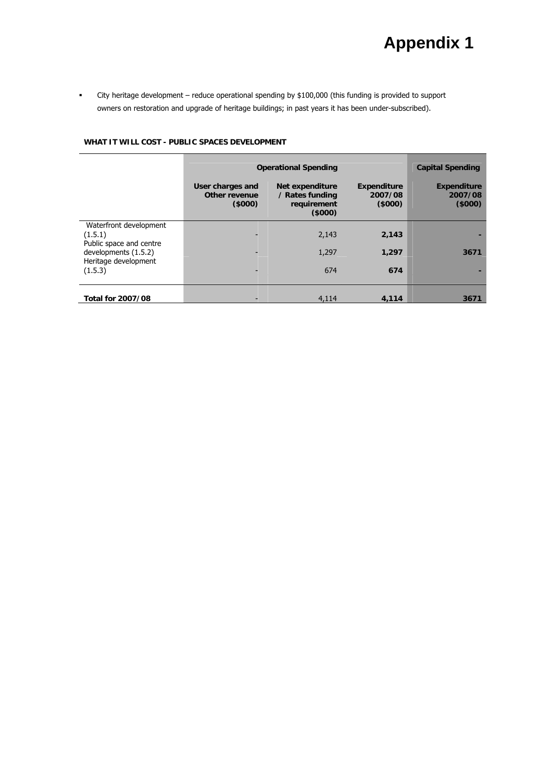City heritage development – reduce operational spending by \$100,000 (this funding is provided to support owners on restoration and upgrade of heritage buildings; in past years it has been under-subscribed).

#### **WHAT IT WILL COST - PUBLIC SPACES DEVELOPMENT**

|                                    | <b>Operational Spending</b>                 | <b>Capital Spending</b>                                     |                                         |                                         |
|------------------------------------|---------------------------------------------|-------------------------------------------------------------|-----------------------------------------|-----------------------------------------|
|                                    | User charges and<br>Other revenue<br>(5000) | Net expenditure<br>/ Rates funding<br>requirement<br>(5000) | <b>Expenditure</b><br>2007/08<br>(5000) | <b>Expenditure</b><br>2007/08<br>(5000) |
| Waterfront development             |                                             |                                                             |                                         |                                         |
| (1.5.1)<br>Public space and centre |                                             | 2,143                                                       | 2,143                                   |                                         |
| developments (1.5.2)               | ۰                                           | 1,297                                                       | 1,297                                   | 3671                                    |
| Heritage development<br>(1.5.3)    | ۰                                           | 674                                                         | 674                                     |                                         |
| <b>Total for 2007/08</b>           |                                             | 4.114                                                       | 4,114                                   | 3671                                    |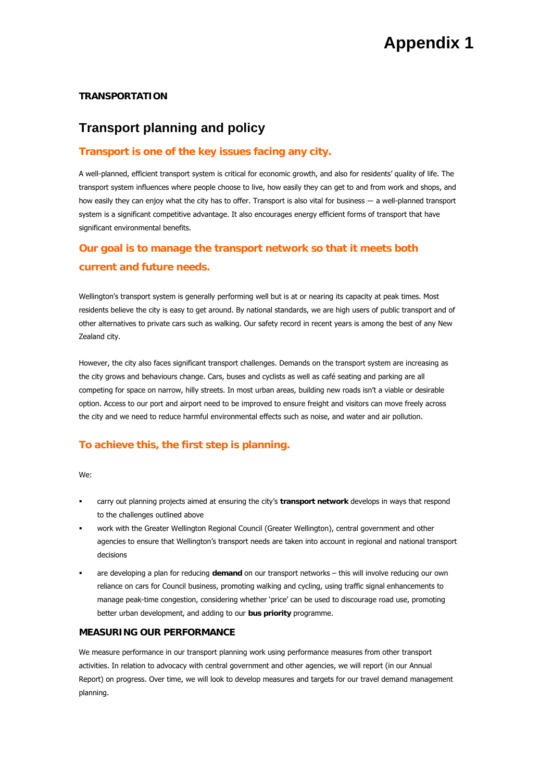### **TRANSPORTATION**

## **Transport planning and policy**

## **Transport is one of the key issues facing any city.**

A well-planned, efficient transport system is critical for economic growth, and also for residents' quality of life. The transport system influences where people choose to live, how easily they can get to and from work and shops, and how easily they can enjoy what the city has to offer. Transport is also vital for business ― a well-planned transport system is a significant competitive advantage. It also encourages energy efficient forms of transport that have significant environmental benefits.

## **Our goal is to manage the transport network so that it meets both current and future needs.**

Wellington's transport system is generally performing well but is at or nearing its capacity at peak times. Most residents believe the city is easy to get around. By national standards, we are high users of public transport and of other alternatives to private cars such as walking. Our safety record in recent years is among the best of any New Zealand city.

However, the city also faces significant transport challenges. Demands on the transport system are increasing as the city grows and behaviours change. Cars, buses and cyclists as well as café seating and parking are all competing for space on narrow, hilly streets. In most urban areas, building new roads isn't a viable or desirable option. Access to our port and airport need to be improved to ensure freight and visitors can move freely across the city and we need to reduce harmful environmental effects such as noise, and water and air pollution.

## **To achieve this, the first step is planning.**

We:

- carry out planning projects aimed at ensuring the city's **transport network** develops in ways that respond to the challenges outlined above
- work with the Greater Wellington Regional Council (Greater Wellington), central government and other agencies to ensure that Wellington's transport needs are taken into account in regional and national transport decisions
- are developing a plan for reducing **demand** on our transport networks this will involve reducing our own reliance on cars for Council business, promoting walking and cycling, using traffic signal enhancements to manage peak-time congestion, considering whether 'price' can be used to discourage road use, promoting better urban development, and adding to our **bus priority** programme.

#### **MEASURING OUR PERFORMANCE**

We measure performance in our transport planning work using performance measures from other transport activities. In relation to advocacy with central government and other agencies, we will report (in our Annual Report) on progress. Over time, we will look to develop measures and targets for our travel demand management planning.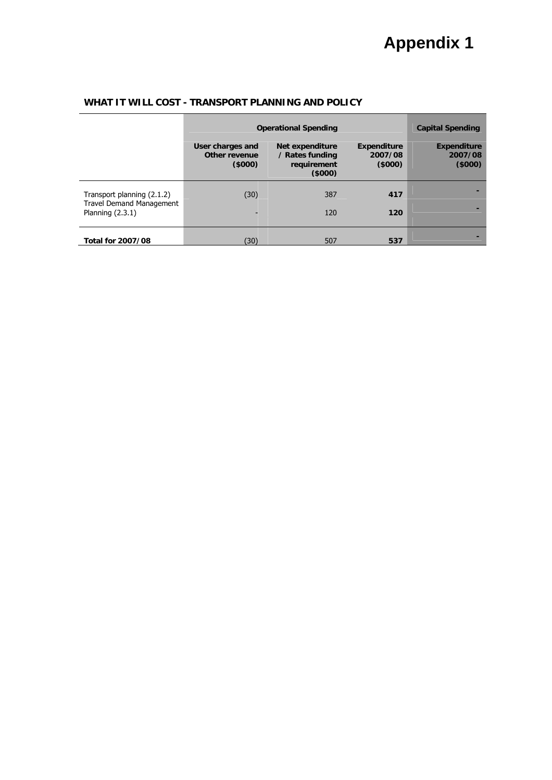|                                                                                     | <b>Operational Spending</b>                 |                                                             |                                         | <b>Capital Spending</b>                 |
|-------------------------------------------------------------------------------------|---------------------------------------------|-------------------------------------------------------------|-----------------------------------------|-----------------------------------------|
|                                                                                     | User charges and<br>Other revenue<br>(5000) | Net expenditure<br>/ Rates funding<br>requirement<br>(5000) | <b>Expenditure</b><br>2007/08<br>(5000) | <b>Expenditure</b><br>2007/08<br>(5000) |
| Transport planning (2.1.2)<br><b>Travel Demand Management</b><br>Planning $(2.3.1)$ | (30)                                        | 387<br>120                                                  | 417<br>120                              |                                         |
| <b>Total for 2007/08</b>                                                            | (30)                                        | 507                                                         | 537                                     |                                         |

## **WHAT IT WILL COST - TRANSPORT PLANNING AND POLICY**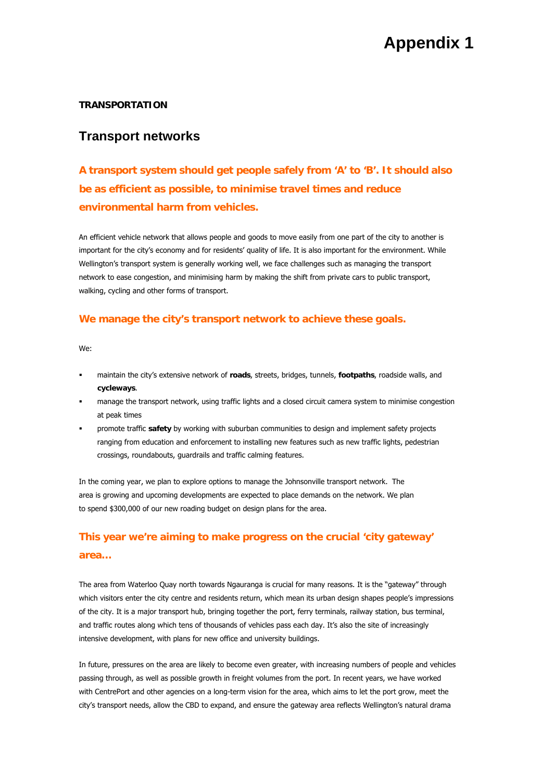#### **TRANSPORTATION**

## **Transport networks**

**A transport system should get people safely from 'A' to 'B'. It should also be as efficient as possible, to minimise travel times and reduce environmental harm from vehicles.** 

An efficient vehicle network that allows people and goods to move easily from one part of the city to another is important for the city's economy and for residents' quality of life. It is also important for the environment. While Wellington's transport system is generally working well, we face challenges such as managing the transport network to ease congestion, and minimising harm by making the shift from private cars to public transport, walking, cycling and other forms of transport.

### **We manage the city's transport network to achieve these goals.**

We:

- maintain the city's extensive network of **roads**, streets, bridges, tunnels, **footpaths**, roadside walls, and **cycleways**.
- manage the transport network, using traffic lights and a closed circuit camera system to minimise congestion at peak times
- promote traffic **safety** by working with suburban communities to design and implement safety projects ranging from education and enforcement to installing new features such as new traffic lights, pedestrian crossings, roundabouts, guardrails and traffic calming features.

In the coming year, we plan to explore options to manage the Johnsonville transport network. The area is growing and upcoming developments are expected to place demands on the network. We plan to spend \$300,000 of our new roading budget on design plans for the area.

# **This year we're aiming to make progress on the crucial 'city gateway' area…**

The area from Waterloo Quay north towards Ngauranga is crucial for many reasons. It is the "gateway" through which visitors enter the city centre and residents return, which mean its urban design shapes people's impressions of the city. It is a major transport hub, bringing together the port, ferry terminals, railway station, bus terminal, and traffic routes along which tens of thousands of vehicles pass each day. It's also the site of increasingly intensive development, with plans for new office and university buildings.

In future, pressures on the area are likely to become even greater, with increasing numbers of people and vehicles passing through, as well as possible growth in freight volumes from the port. In recent years, we have worked with CentrePort and other agencies on a long-term vision for the area, which aims to let the port grow, meet the city's transport needs, allow the CBD to expand, and ensure the gateway area reflects Wellington's natural drama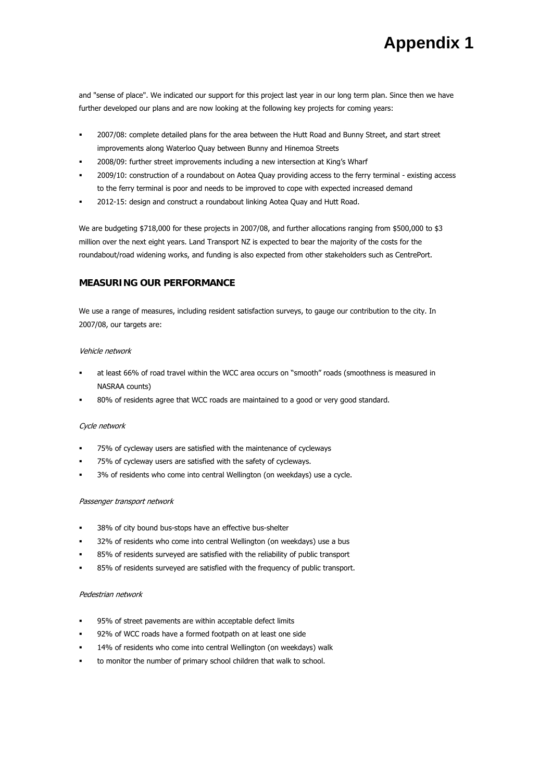and "sense of place". We indicated our support for this project last year in our long term plan. Since then we have further developed our plans and are now looking at the following key projects for coming years:

- 2007/08: complete detailed plans for the area between the Hutt Road and Bunny Street, and start street improvements along Waterloo Quay between Bunny and Hinemoa Streets
- 2008/09: further street improvements including a new intersection at King's Wharf
- 2009/10: construction of a roundabout on Aotea Quay providing access to the ferry terminal existing access to the ferry terminal is poor and needs to be improved to cope with expected increased demand
- 2012-15: design and construct a roundabout linking Aotea Quay and Hutt Road.

We are budgeting \$718,000 for these projects in 2007/08, and further allocations ranging from \$500,000 to \$3 million over the next eight years. Land Transport NZ is expected to bear the majority of the costs for the roundabout/road widening works, and funding is also expected from other stakeholders such as CentrePort.

#### **MEASURING OUR PERFORMANCE**

We use a range of measures, including resident satisfaction surveys, to gauge our contribution to the city. In 2007/08, our targets are:

#### Vehicle network

- at least 66% of road travel within the WCC area occurs on "smooth" roads (smoothness is measured in NASRAA counts)
- 80% of residents agree that WCC roads are maintained to a good or very good standard.

#### Cycle network

- 75% of cycleway users are satisfied with the maintenance of cycleways
- 75% of cycleway users are satisfied with the safety of cycleways.
- 3% of residents who come into central Wellington (on weekdays) use a cycle.

#### Passenger transport network

- 38% of city bound bus-stops have an effective bus-shelter
- 32% of residents who come into central Wellington (on weekdays) use a bus
- 85% of residents surveyed are satisfied with the reliability of public transport
- 85% of residents surveyed are satisfied with the frequency of public transport.

#### Pedestrian network

- 95% of street pavements are within acceptable defect limits
- 92% of WCC roads have a formed footpath on at least one side
- 14% of residents who come into central Wellington (on weekdays) walk
- to monitor the number of primary school children that walk to school.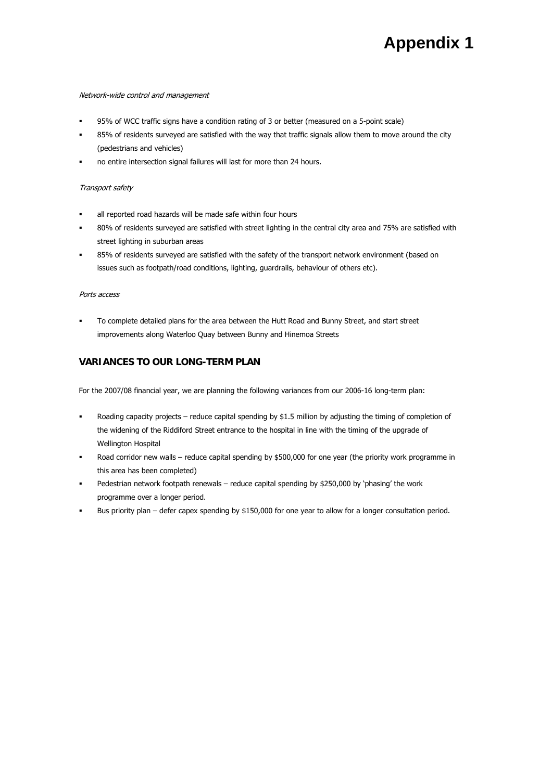#### Network-wide control and management

- 95% of WCC traffic signs have a condition rating of 3 or better (measured on a 5-point scale)
- 85% of residents surveyed are satisfied with the way that traffic signals allow them to move around the city (pedestrians and vehicles)
- no entire intersection signal failures will last for more than 24 hours.

#### Transport safety

- all reported road hazards will be made safe within four hours
- 80% of residents surveyed are satisfied with street lighting in the central city area and 75% are satisfied with street lighting in suburban areas
- 85% of residents surveyed are satisfied with the safety of the transport network environment (based on issues such as footpath/road conditions, lighting, guardrails, behaviour of others etc).

#### Ports access

 To complete detailed plans for the area between the Hutt Road and Bunny Street, and start street improvements along Waterloo Quay between Bunny and Hinemoa Streets

### **VARIANCES TO OUR LONG-TERM PLAN**

For the 2007/08 financial year, we are planning the following variances from our 2006-16 long-term plan:

- Roading capacity projects reduce capital spending by \$1.5 million by adjusting the timing of completion of the widening of the Riddiford Street entrance to the hospital in line with the timing of the upgrade of Wellington Hospital
- Road corridor new walls reduce capital spending by \$500,000 for one year (the priority work programme in this area has been completed)
- Pedestrian network footpath renewals reduce capital spending by \$250,000 by 'phasing' the work programme over a longer period.
- Bus priority plan defer capex spending by \$150,000 for one year to allow for a longer consultation period.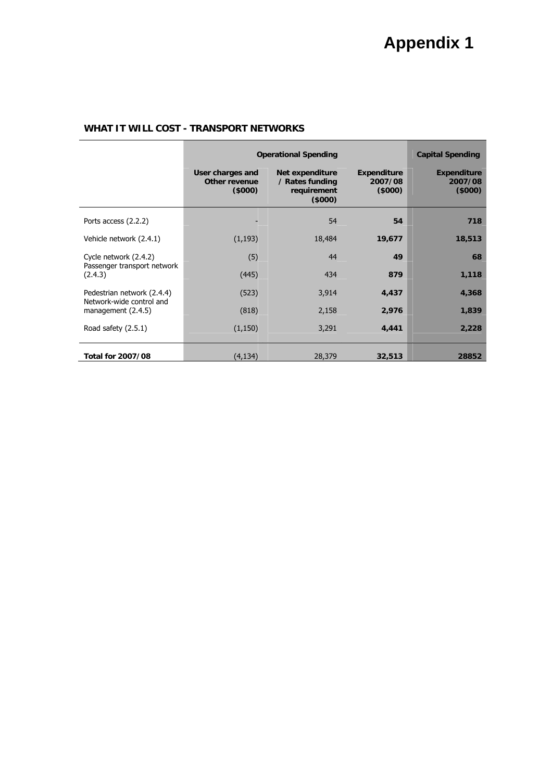|                                                | <b>Operational Spending</b>                        |                                                             |                                          | <b>Capital Spending</b>                  |
|------------------------------------------------|----------------------------------------------------|-------------------------------------------------------------|------------------------------------------|------------------------------------------|
|                                                | User charges and<br><b>Other revenue</b><br>(5000) | Net expenditure<br>/ Rates funding<br>requirement<br>(5000) | <b>Expenditure</b><br>2007/08<br>(\$000) | <b>Expenditure</b><br>2007/08<br>(\$000) |
| Ports access (2.2.2)                           |                                                    | 54                                                          | 54                                       | 718                                      |
| Vehicle network (2.4.1)                        | (1, 193)                                           | 18,484                                                      | 19,677                                   | 18,513                                   |
| Cycle network (2.4.2)                          | (5)                                                | 44                                                          | 49                                       | 68                                       |
| Passenger transport network<br>(2.4.3)         | (445)                                              | 434                                                         | 879                                      | 1,118                                    |
| Pedestrian network (2.4.4)                     | (523)                                              | 3,914                                                       | 4,437                                    | 4,368                                    |
| Network-wide control and<br>management (2.4.5) | (818)                                              | 2,158                                                       | 2,976                                    | 1,839                                    |
| Road safety (2.5.1)                            | (1, 150)                                           | 3,291                                                       | 4,441                                    | 2,228                                    |
| <b>Total for 2007/08</b>                       | (4, 134)                                           | 28,379                                                      | 32,513                                   | 28852                                    |

## **WHAT IT WILL COST - TRANSPORT NETWORKS**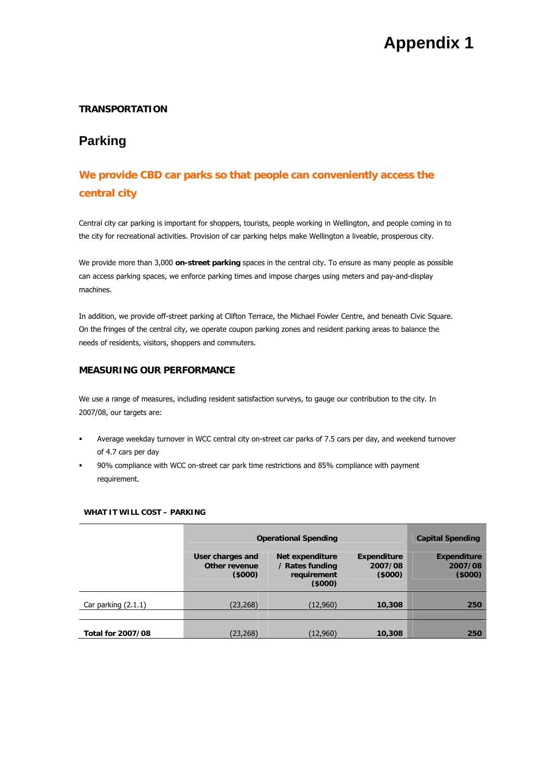## **TRANSPORTATION**

# **Parking**

# **We provide CBD car parks so that people can conveniently access the central city**

Central city car parking is important for shoppers, tourists, people working in Wellington, and people coming in to the city for recreational activities. Provision of car parking helps make Wellington a liveable, prosperous city.

We provide more than 3,000 **on-street parking** spaces in the central city. To ensure as many people as possible can access parking spaces, we enforce parking times and impose charges using meters and pay-and-display machines.

In addition, we provide off-street parking at Clifton Terrace, the Michael Fowler Centre, and beneath Civic Square. On the fringes of the central city, we operate coupon parking zones and resident parking areas to balance the needs of residents, visitors, shoppers and commuters.

## **MEASURING OUR PERFORMANCE**

We use a range of measures, including resident satisfaction surveys, to gauge our contribution to the city. In 2007/08, our targets are:

- Average weekday turnover in WCC central city on-street car parks of 7.5 cars per day, and weekend turnover of 4.7 cars per day
- 90% compliance with WCC on-street car park time restrictions and 85% compliance with payment requirement.

|                          | <b>Operational Spending</b>                 | <b>Capital Spending</b>                                     |                                         |                                         |
|--------------------------|---------------------------------------------|-------------------------------------------------------------|-----------------------------------------|-----------------------------------------|
|                          | User charges and<br>Other revenue<br>(5000) | Net expenditure<br>/ Rates funding<br>requirement<br>(5000) | <b>Expenditure</b><br>2007/08<br>(5000) | <b>Expenditure</b><br>2007/08<br>(5000) |
| Car parking $(2.1.1)$    | (23, 268)                                   | (12,960)                                                    | 10,308                                  | 250                                     |
| <b>Total for 2007/08</b> | (23,268)                                    | (12,960)                                                    | 10,308                                  | 250                                     |

#### **WHAT IT WILL COST – PARKING**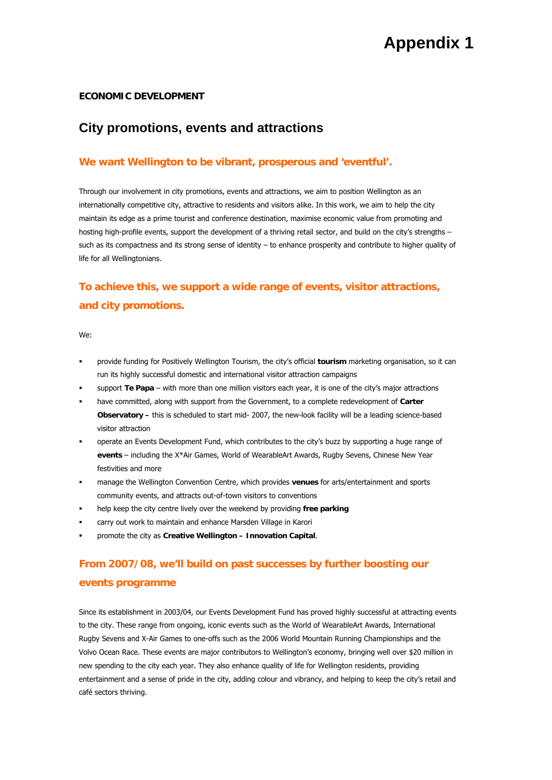#### **ECONOMIC DEVELOPMENT**

# **City promotions, events and attractions**

## **We want Wellington to be vibrant, prosperous and 'eventful'.**

Through our involvement in city promotions, events and attractions, we aim to position Wellington as an internationally competitive city, attractive to residents and visitors alike. In this work, we aim to help the city maintain its edge as a prime tourist and conference destination, maximise economic value from promoting and hosting high-profile events, support the development of a thriving retail sector, and build on the city's strengths – such as its compactness and its strong sense of identity – to enhance prosperity and contribute to higher quality of life for all Wellingtonians.

# **To achieve this, we support a wide range of events, visitor attractions, and city promotions.**

We:

- provide funding for Positively Wellington Tourism, the city's official **tourism** marketing organisation, so it can run its highly successful domestic and international visitor attraction campaigns
- support **Te Papa** with more than one million visitors each year, it is one of the city's major attractions
- have committed, along with support from the Government, to a complete redevelopment of **Carter Observatory –** this is scheduled to start mid- 2007, the new-look facility will be a leading science-based visitor attraction
- operate an Events Development Fund, which contributes to the city's buzz by supporting a huge range of **events** – including the X\*Air Games, World of WearableArt Awards, Rugby Sevens, Chinese New Year festivities and more
- manage the Wellington Convention Centre, which provides **venues** for arts/entertainment and sports community events, and attracts out-of-town visitors to conventions
- help keep the city centre lively over the weekend by providing **free parking**
- carry out work to maintain and enhance Marsden Village in Karori
- promote the city as **Creative Wellington Innovation Capital**.

# **From 2007/08, we'll build on past successes by further boosting our events programme**

Since its establishment in 2003/04, our Events Development Fund has proved highly successful at attracting events to the city. These range from ongoing, iconic events such as the World of WearableArt Awards, International Rugby Sevens and X-Air Games to one-offs such as the 2006 World Mountain Running Championships and the Volvo Ocean Race. These events are major contributors to Wellington's economy, bringing well over \$20 million in new spending to the city each year. They also enhance quality of life for Wellington residents, providing entertainment and a sense of pride in the city, adding colour and vibrancy, and helping to keep the city's retail and café sectors thriving.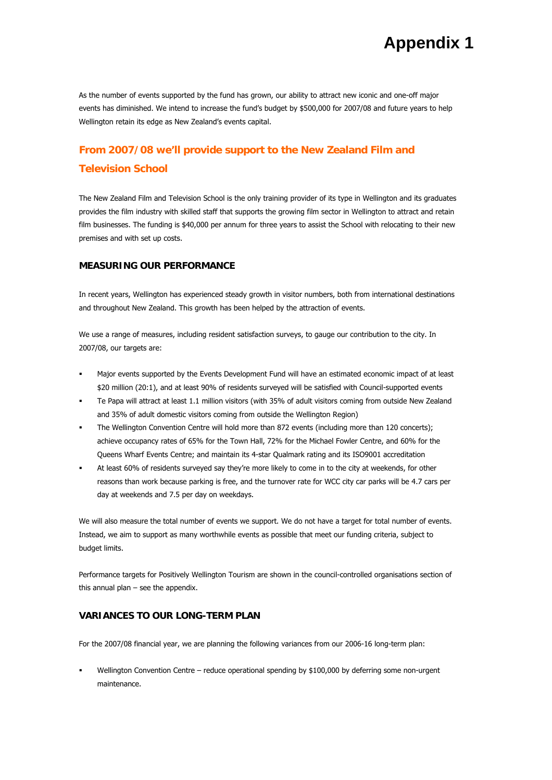As the number of events supported by the fund has grown, our ability to attract new iconic and one-off major events has diminished. We intend to increase the fund's budget by \$500,000 for 2007/08 and future years to help Wellington retain its edge as New Zealand's events capital.

# **From 2007/08 we'll provide support to the New Zealand Film and Television School**

The New Zealand Film and Television School is the only training provider of its type in Wellington and its graduates provides the film industry with skilled staff that supports the growing film sector in Wellington to attract and retain film businesses. The funding is \$40,000 per annum for three years to assist the School with relocating to their new premises and with set up costs.

#### **MEASURING OUR PERFORMANCE**

In recent years, Wellington has experienced steady growth in visitor numbers, both from international destinations and throughout New Zealand. This growth has been helped by the attraction of events.

We use a range of measures, including resident satisfaction surveys, to gauge our contribution to the city. In 2007/08, our targets are:

- Major events supported by the Events Development Fund will have an estimated economic impact of at least \$20 million (20:1), and at least 90% of residents surveyed will be satisfied with Council-supported events
- Te Papa will attract at least 1.1 million visitors (with 35% of adult visitors coming from outside New Zealand and 35% of adult domestic visitors coming from outside the Wellington Region)
- The Wellington Convention Centre will hold more than 872 events (including more than 120 concerts); achieve occupancy rates of 65% for the Town Hall, 72% for the Michael Fowler Centre, and 60% for the Queens Wharf Events Centre; and maintain its 4-star Qualmark rating and its ISO9001 accreditation
- At least 60% of residents surveyed say they're more likely to come in to the city at weekends, for other reasons than work because parking is free, and the turnover rate for WCC city car parks will be 4.7 cars per day at weekends and 7.5 per day on weekdays.

We will also measure the total number of events we support. We do not have a target for total number of events. Instead, we aim to support as many worthwhile events as possible that meet our funding criteria, subject to budget limits.

Performance targets for Positively Wellington Tourism are shown in the council-controlled organisations section of this annual plan – see the appendix.

#### **VARIANCES TO OUR LONG-TERM PLAN**

For the 2007/08 financial year, we are planning the following variances from our 2006-16 long-term plan:

Wellington Convention Centre – reduce operational spending by \$100,000 by deferring some non-urgent maintenance.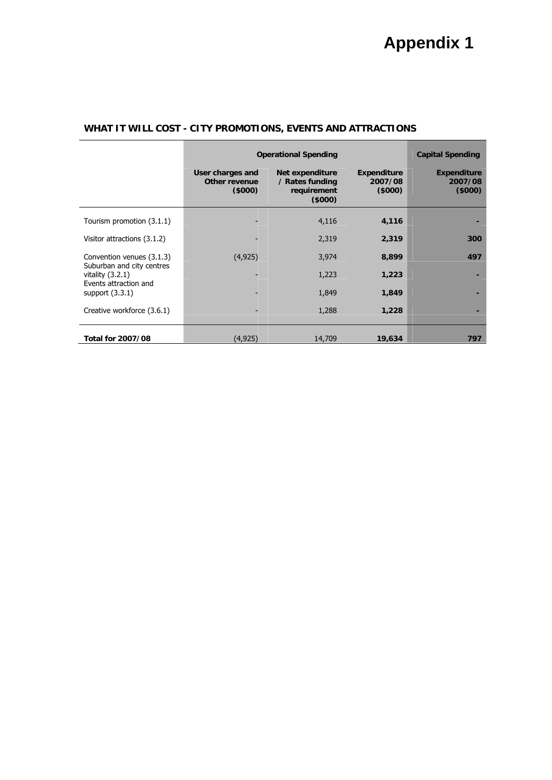|                                                 | <b>Operational Spending</b>                 | <b>Capital Spending</b>                                     |                                         |                                         |
|-------------------------------------------------|---------------------------------------------|-------------------------------------------------------------|-----------------------------------------|-----------------------------------------|
|                                                 | User charges and<br>Other revenue<br>(5000) | Net expenditure<br>/ Rates funding<br>requirement<br>(5000) | <b>Expenditure</b><br>2007/08<br>(5000) | <b>Expenditure</b><br>2007/08<br>(5000) |
| Tourism promotion (3.1.1)                       |                                             | 4,116                                                       | 4,116                                   |                                         |
| Visitor attractions (3.1.2)                     |                                             | 2,319                                                       | 2,319                                   | 300                                     |
| Convention venues (3.1.3)                       | (4, 925)                                    | 3,974                                                       | 8,899                                   | 497                                     |
| Suburban and city centres<br>vitality $(3.2.1)$ |                                             | 1,223                                                       | 1,223                                   |                                         |
| Events attraction and<br>support $(3.3.1)$      |                                             | 1,849                                                       | 1,849                                   |                                         |
| Creative workforce (3.6.1)                      |                                             | 1,288                                                       | 1,228                                   |                                         |
| <b>Total for 2007/08</b>                        | (4,925)                                     | 14,709                                                      | 19,634                                  | 797                                     |

## **WHAT IT WILL COST - CITY PROMOTIONS, EVENTS AND ATTRACTIONS**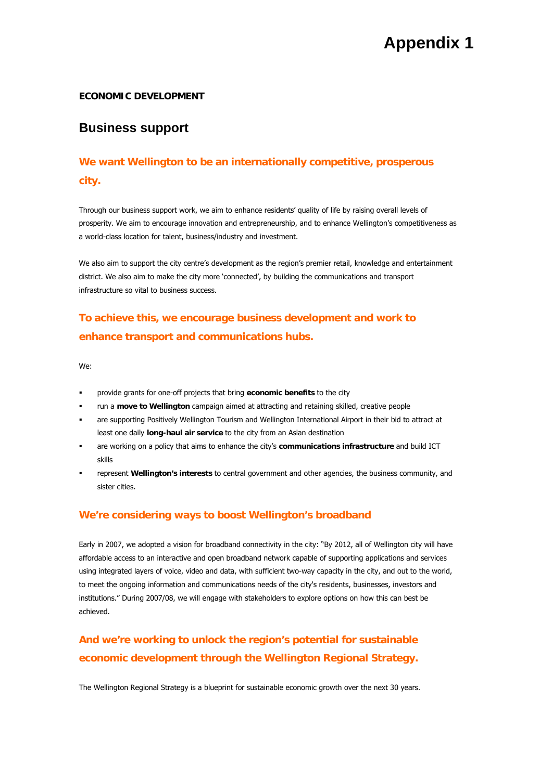### **ECONOMIC DEVELOPMENT**

## **Business support**

# **We want Wellington to be an internationally competitive, prosperous city.**

Through our business support work, we aim to enhance residents' quality of life by raising overall levels of prosperity. We aim to encourage innovation and entrepreneurship, and to enhance Wellington's competitiveness as a world-class location for talent, business/industry and investment.

We also aim to support the city centre's development as the region's premier retail, knowledge and entertainment district. We also aim to make the city more 'connected', by building the communications and transport infrastructure so vital to business success.

# **To achieve this, we encourage business development and work to enhance transport and communications hubs.**

We:

- provide grants for one-off projects that bring **economic benefits** to the city
- run a **move to Wellington** campaign aimed at attracting and retaining skilled, creative people
- are supporting Positively Wellington Tourism and Wellington International Airport in their bid to attract at least one daily **long-haul air service** to the city from an Asian destination
- are working on a policy that aims to enhance the city's **communications infrastructure** and build ICT skills
- represent **Wellington's interests** to central government and other agencies, the business community, and sister cities.

### **We're considering ways to boost Wellington's broadband**

Early in 2007, we adopted a vision for broadband connectivity in the city: "By 2012, all of Wellington city will have affordable access to an interactive and open broadband network capable of supporting applications and services using integrated layers of voice, video and data, with sufficient two-way capacity in the city, and out to the world, to meet the ongoing information and communications needs of the city's residents, businesses, investors and institutions." During 2007/08, we will engage with stakeholders to explore options on how this can best be achieved.

# **And we're working to unlock the region's potential for sustainable economic development through the Wellington Regional Strategy.**

The Wellington Regional Strategy is a blueprint for sustainable economic growth over the next 30 years.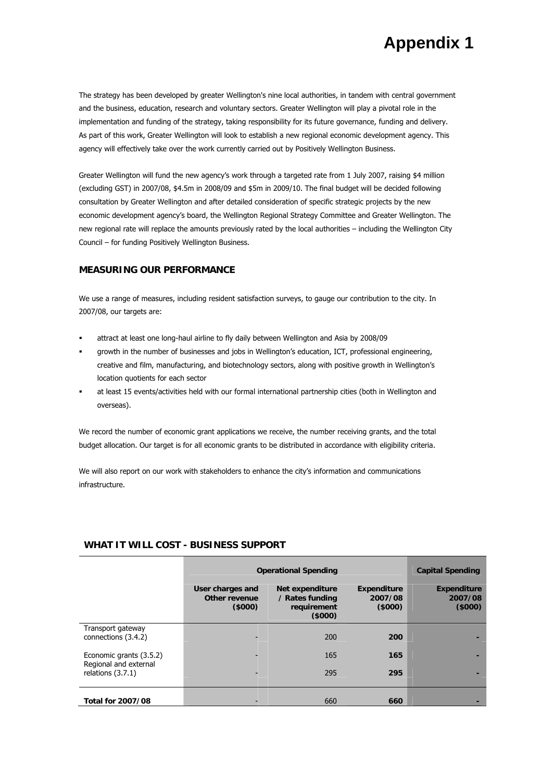The strategy has been developed by greater Wellington's nine local authorities, in tandem with central government and the business, education, research and voluntary sectors. Greater Wellington will play a pivotal role in the implementation and funding of the strategy, taking responsibility for its future governance, funding and delivery. As part of this work, Greater Wellington will look to establish a new regional economic development agency. This agency will effectively take over the work currently carried out by Positively Wellington Business.

Greater Wellington will fund the new agency's work through a targeted rate from 1 July 2007, raising \$4 million (excluding GST) in 2007/08, \$4.5m in 2008/09 and \$5m in 2009/10. The final budget will be decided following consultation by Greater Wellington and after detailed consideration of specific strategic projects by the new economic development agency's board, the Wellington Regional Strategy Committee and Greater Wellington. The new regional rate will replace the amounts previously rated by the local authorities – including the Wellington City Council – for funding Positively Wellington Business.

#### **MEASURING OUR PERFORMANCE**

We use a range of measures, including resident satisfaction surveys, to gauge our contribution to the city. In 2007/08, our targets are:

- attract at least one long-haul airline to fly daily between Wellington and Asia by 2008/09
- growth in the number of businesses and jobs in Wellington's education, ICT, professional engineering, creative and film, manufacturing, and biotechnology sectors, along with positive growth in Wellington's location quotients for each sector
- at least 15 events/activities held with our formal international partnership cities (both in Wellington and overseas).

We record the number of economic grant applications we receive, the number receiving grants, and the total budget allocation. Our target is for all economic grants to be distributed in accordance with eligibility criteria.

We will also report on our work with stakeholders to enhance the city's information and communications infrastructure.

|                                              | <b>Operational Spending</b>                        | <b>Capital Spending</b>                                      |                                         |                                         |
|----------------------------------------------|----------------------------------------------------|--------------------------------------------------------------|-----------------------------------------|-----------------------------------------|
|                                              | User charges and<br><b>Other revenue</b><br>(5000) | Net expenditure<br>/ Rates funding<br>requirement<br>(\$000) | <b>Expenditure</b><br>2007/08<br>(5000) | <b>Expenditure</b><br>2007/08<br>(5000) |
| Transport gateway                            |                                                    |                                                              |                                         |                                         |
| connections (3.4.2)                          |                                                    | 200                                                          | 200                                     |                                         |
| Economic grants (3.5.2)                      |                                                    | 165                                                          | 165                                     | -                                       |
| Regional and external<br>relations $(3.7.1)$ |                                                    | 295                                                          | 295                                     | -                                       |
|                                              |                                                    |                                                              |                                         |                                         |
| <b>Total for 2007/08</b>                     |                                                    | 660                                                          | 660                                     |                                         |

#### **WHAT IT WILL COST - BUSINESS SUPPORT**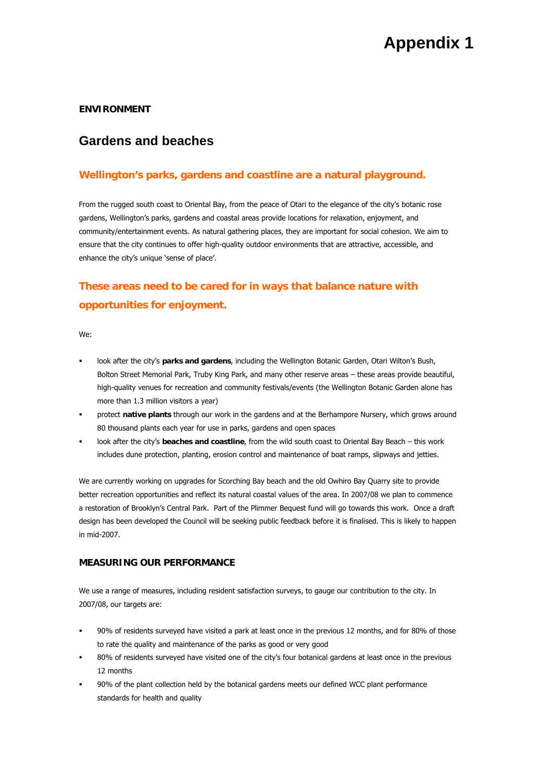## **ENVIRONMENT**

## **Gardens and beaches**

## **Wellington's parks, gardens and coastline are a natural playground.**

From the rugged south coast to Oriental Bay, from the peace of Otari to the elegance of the city's botanic rose gardens, Wellington's parks, gardens and coastal areas provide locations for relaxation, enjoyment, and community/entertainment events. As natural gathering places, they are important for social cohesion. We aim to ensure that the city continues to offer high-quality outdoor environments that are attractive, accessible, and enhance the city's unique 'sense of place'.

# **These areas need to be cared for in ways that balance nature with opportunities for enjoyment.**

We:

- look after the city's **parks and gardens**, including the Wellington Botanic Garden, Otari Wilton's Bush, Bolton Street Memorial Park, Truby King Park, and many other reserve areas – these areas provide beautiful, high-quality venues for recreation and community festivals/events (the Wellington Botanic Garden alone has more than 1.3 million visitors a year)
- protect **native plants** through our work in the gardens and at the Berhampore Nursery, which grows around 80 thousand plants each year for use in parks, gardens and open spaces
- look after the city's **beaches and coastline**, from the wild south coast to Oriental Bay Beach this work includes dune protection, planting, erosion control and maintenance of boat ramps, slipways and jetties.

We are currently working on upgrades for Scorching Bay beach and the old Owhiro Bay Quarry site to provide better recreation opportunities and reflect its natural coastal values of the area. In 2007/08 we plan to commence a restoration of Brooklyn's Central Park. Part of the Plimmer Bequest fund will go towards this work. Once a draft design has been developed the Council will be seeking public feedback before it is finalised. This is likely to happen in mid-2007.

#### **MEASURING OUR PERFORMANCE**

We use a range of measures, including resident satisfaction surveys, to gauge our contribution to the city. In 2007/08, our targets are:

- 90% of residents surveyed have visited a park at least once in the previous 12 months, and for 80% of those to rate the quality and maintenance of the parks as good or very good
- 80% of residents surveyed have visited one of the city's four botanical gardens at least once in the previous 12 months
- 90% of the plant collection held by the botanical gardens meets our defined WCC plant performance standards for health and quality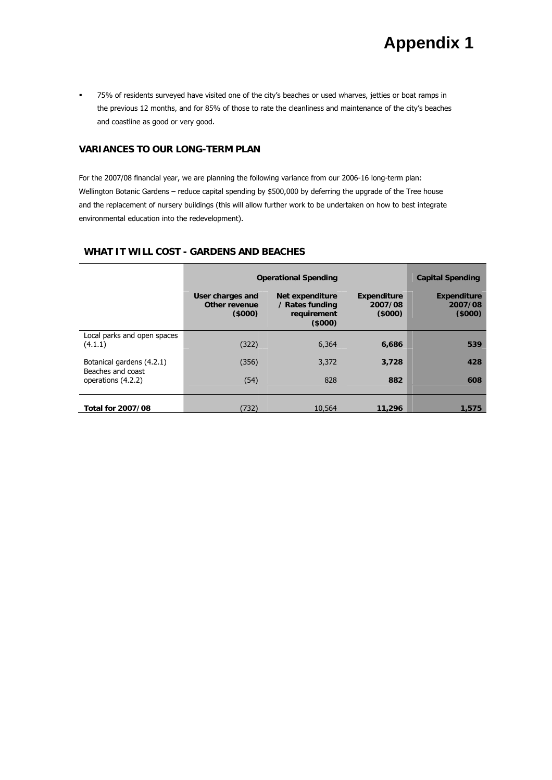75% of residents surveyed have visited one of the city's beaches or used wharves, jetties or boat ramps in the previous 12 months, and for 85% of those to rate the cleanliness and maintenance of the city's beaches and coastline as good or very good.

## **VARIANCES TO OUR LONG-TERM PLAN**

For the 2007/08 financial year, we are planning the following variance from our 2006-16 long-term plan: Wellington Botanic Gardens – reduce capital spending by \$500,000 by deferring the upgrade of the Tree house and the replacement of nursery buildings (this will allow further work to be undertaken on how to best integrate environmental education into the redevelopment).

## **WHAT IT WILL COST - GARDENS AND BEACHES**

|                                         | <b>Operational Spending</b>                 | <b>Capital Spending</b>                                     |                                         |                                         |
|-----------------------------------------|---------------------------------------------|-------------------------------------------------------------|-----------------------------------------|-----------------------------------------|
|                                         | User charges and<br>Other revenue<br>(5000) | Net expenditure<br>/ Rates funding<br>requirement<br>(5000) | <b>Expenditure</b><br>2007/08<br>(5000) | <b>Expenditure</b><br>2007/08<br>(5000) |
| Local parks and open spaces<br>(4.1.1)  | (322)                                       | 6,364                                                       | 6,686                                   | 539                                     |
| Botanical gardens (4.2.1)               | (356)                                       | 3,372                                                       | 3,728                                   | 428                                     |
| Beaches and coast<br>operations (4.2.2) | (54)                                        | 828                                                         | 882                                     | 608                                     |
| <b>Total for 2007/08</b>                | (732)                                       | 10,564                                                      | 11,296                                  | 1,575                                   |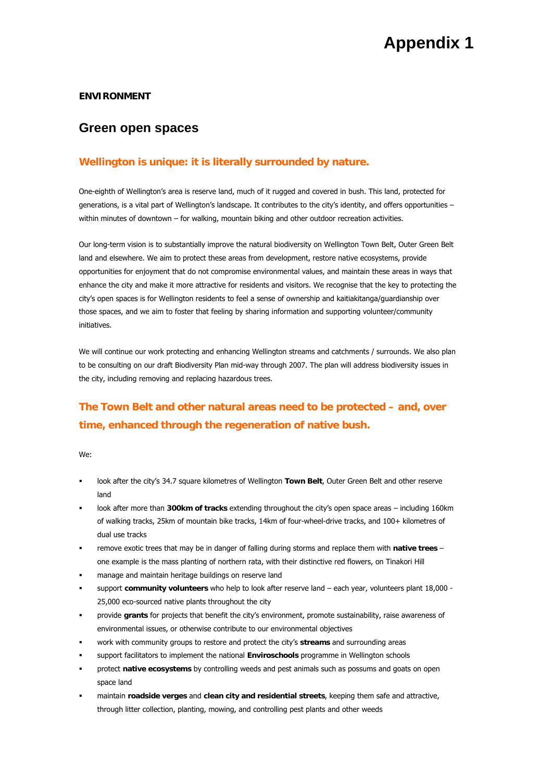#### **ENVIRONMENT**

## **Green open spaces**

## **Wellington is unique: it is literally surrounded by nature.**

One-eighth of Wellington's area is reserve land, much of it rugged and covered in bush. This land, protected for generations, is a vital part of Wellington's landscape. It contributes to the city's identity, and offers opportunities – within minutes of downtown – for walking, mountain biking and other outdoor recreation activities.

Our long-term vision is to substantially improve the natural biodiversity on Wellington Town Belt, Outer Green Belt land and elsewhere. We aim to protect these areas from development, restore native ecosystems, provide opportunities for enjoyment that do not compromise environmental values, and maintain these areas in ways that enhance the city and make it more attractive for residents and visitors. We recognise that the key to protecting the city's open spaces is for Wellington residents to feel a sense of ownership and kaitiakitanga/guardianship over those spaces, and we aim to foster that feeling by sharing information and supporting volunteer/community initiatives.

We will continue our work protecting and enhancing Wellington streams and catchments / surrounds. We also plan to be consulting on our draft Biodiversity Plan mid-way through 2007. The plan will address biodiversity issues in the city, including removing and replacing hazardous trees.

# **The Town Belt and other natural areas need to be protected – and, over time, enhanced through the regeneration of native bush.**

We:

- look after the city's 34.7 square kilometres of Wellington **Town Belt**, Outer Green Belt and other reserve land
- look after more than **300km of tracks** extending throughout the city's open space areas including 160km of walking tracks, 25km of mountain bike tracks, 14km of four-wheel-drive tracks, and 100+ kilometres of dual use tracks
- remove exotic trees that may be in danger of falling during storms and replace them with **native trees** one example is the mass planting of northern rata, with their distinctive red flowers, on Tinakori Hill
- manage and maintain heritage buildings on reserve land
- support **community volunteers** who help to look after reserve land each year, volunteers plant 18,000 25,000 eco-sourced native plants throughout the city
- provide **grants** for projects that benefit the city's environment, promote sustainability, raise awareness of environmental issues, or otherwise contribute to our environmental objectives
- work with community groups to restore and protect the city's **streams** and surrounding areas
- support facilitators to implement the national **Enviroschools** programme in Wellington schools
- protect **native ecosystems** by controlling weeds and pest animals such as possums and goats on open space land
- maintain **roadside verges** and **clean city and residential streets**, keeping them safe and attractive, through litter collection, planting, mowing, and controlling pest plants and other weeds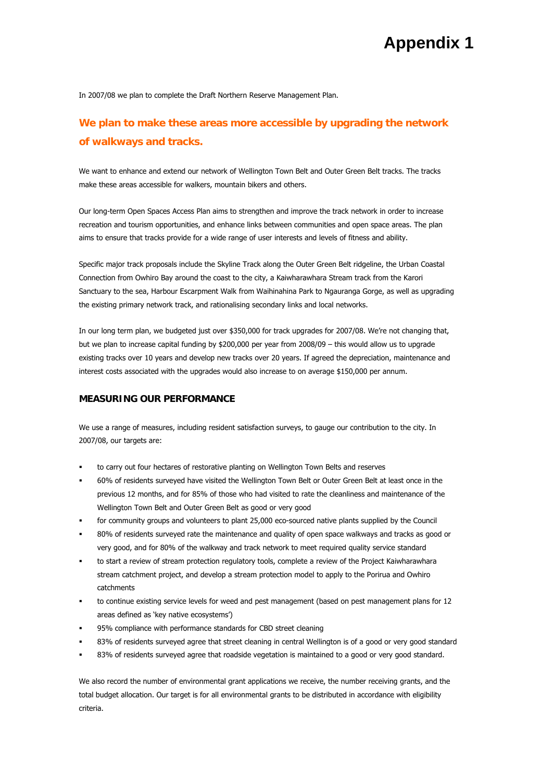In 2007/08 we plan to complete the Draft Northern Reserve Management Plan.

## **We plan to make these areas more accessible by upgrading the network of walkways and tracks.**

We want to enhance and extend our network of Wellington Town Belt and Outer Green Belt tracks. The tracks make these areas accessible for walkers, mountain bikers and others.

Our long-term Open Spaces Access Plan aims to strengthen and improve the track network in order to increase recreation and tourism opportunities, and enhance links between communities and open space areas. The plan aims to ensure that tracks provide for a wide range of user interests and levels of fitness and ability.

Specific major track proposals include the Skyline Track along the Outer Green Belt ridgeline, the Urban Coastal Connection from Owhiro Bay around the coast to the city, a Kaiwharawhara Stream track from the Karori Sanctuary to the sea, Harbour Escarpment Walk from Waihinahina Park to Ngauranga Gorge, as well as upgrading the existing primary network track, and rationalising secondary links and local networks.

In our long term plan, we budgeted just over \$350,000 for track upgrades for 2007/08. We're not changing that, but we plan to increase capital funding by \$200,000 per year from 2008/09 – this would allow us to upgrade existing tracks over 10 years and develop new tracks over 20 years. If agreed the depreciation, maintenance and interest costs associated with the upgrades would also increase to on average \$150,000 per annum.

#### **MEASURING OUR PERFORMANCE**

We use a range of measures, including resident satisfaction surveys, to gauge our contribution to the city. In 2007/08, our targets are:

- to carry out four hectares of restorative planting on Wellington Town Belts and reserves
- 60% of residents surveyed have visited the Wellington Town Belt or Outer Green Belt at least once in the previous 12 months, and for 85% of those who had visited to rate the cleanliness and maintenance of the Wellington Town Belt and Outer Green Belt as good or very good
- for community groups and volunteers to plant 25,000 eco-sourced native plants supplied by the Council
- 80% of residents surveyed rate the maintenance and quality of open space walkways and tracks as good or very good, and for 80% of the walkway and track network to meet required quality service standard
- to start a review of stream protection regulatory tools, complete a review of the Project Kaiwharawhara stream catchment project, and develop a stream protection model to apply to the Porirua and Owhiro catchments
- to continue existing service levels for weed and pest management (based on pest management plans for 12 areas defined as 'key native ecosystems')
- 95% compliance with performance standards for CBD street cleaning
- 83% of residents surveyed agree that street cleaning in central Wellington is of a good or very good standard
- 83% of residents surveyed agree that roadside vegetation is maintained to a good or very good standard.

We also record the number of environmental grant applications we receive, the number receiving grants, and the total budget allocation. Our target is for all environmental grants to be distributed in accordance with eligibility criteria.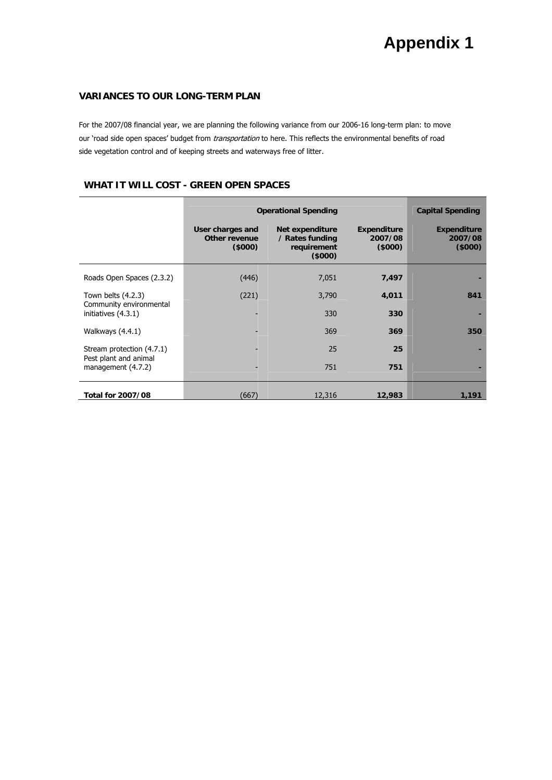## **VARIANCES TO OUR LONG-TERM PLAN**

For the 2007/08 financial year, we are planning the following variance from our 2006-16 long-term plan: to move our 'road side open spaces' budget from *transportation* to here. This reflects the environmental benefits of road side vegetation control and of keeping streets and waterways free of litter.

### **WHAT IT WILL COST - GREEN OPEN SPACES**

|                                                 | <b>Operational Spending</b>                        | <b>Capital Spending</b>                                     |                                         |                                         |
|-------------------------------------------------|----------------------------------------------------|-------------------------------------------------------------|-----------------------------------------|-----------------------------------------|
|                                                 | User charges and<br><b>Other revenue</b><br>(5000) | Net expenditure<br>/ Rates funding<br>requirement<br>(5000) | <b>Expenditure</b><br>2007/08<br>(5000) | <b>Expenditure</b><br>2007/08<br>(5000) |
| Roads Open Spaces (2.3.2)                       | (446)                                              | 7,051                                                       | 7,497                                   |                                         |
| Town belts $(4.2.3)$<br>Community environmental | (221)                                              | 3,790                                                       | 4,011                                   | 841                                     |
| initiatives (4.3.1)                             |                                                    | 330                                                         | 330                                     |                                         |
| Walkways (4.4.1)                                |                                                    | 369                                                         | 369                                     | 350                                     |
| Stream protection (4.7.1)                       |                                                    | 25                                                          | 25                                      |                                         |
| Pest plant and animal<br>management (4.7.2)     |                                                    | 751                                                         | 751                                     |                                         |
| Total for 2007/08                               | (667)                                              | 12,316                                                      | 12,983                                  | 1,191                                   |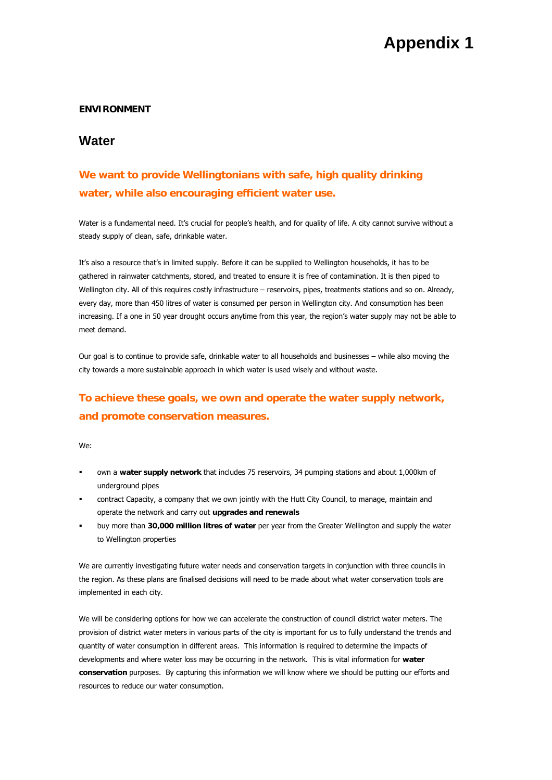### **ENVIRONMENT**

## **Water**

# **We want to provide Wellingtonians with safe, high quality drinking water, while also encouraging efficient water use.**

Water is a fundamental need. It's crucial for people's health, and for quality of life. A city cannot survive without a steady supply of clean, safe, drinkable water.

It's also a resource that's in limited supply. Before it can be supplied to Wellington households, it has to be gathered in rainwater catchments, stored, and treated to ensure it is free of contamination. It is then piped to Wellington city. All of this requires costly infrastructure – reservoirs, pipes, treatments stations and so on. Already, every day, more than 450 litres of water is consumed per person in Wellington city. And consumption has been increasing. If a one in 50 year drought occurs anytime from this year, the region's water supply may not be able to meet demand.

Our goal is to continue to provide safe, drinkable water to all households and businesses – while also moving the city towards a more sustainable approach in which water is used wisely and without waste.

# **To achieve these goals, we own and operate the water supply network, and promote conservation measures.**

We:

- own a **water supply network** that includes 75 reservoirs, 34 pumping stations and about 1,000km of underground pipes
- contract Capacity, a company that we own jointly with the Hutt City Council, to manage, maintain and operate the network and carry out **upgrades and renewals**
- buy more than **30,000 million litres of water** per year from the Greater Wellington and supply the water to Wellington properties

We are currently investigating future water needs and conservation targets in conjunction with three councils in the region. As these plans are finalised decisions will need to be made about what water conservation tools are implemented in each city.

We will be considering options for how we can accelerate the construction of council district water meters. The provision of district water meters in various parts of the city is important for us to fully understand the trends and quantity of water consumption in different areas. This information is required to determine the impacts of developments and where water loss may be occurring in the network. This is vital information for **water conservation** purposes. By capturing this information we will know where we should be putting our efforts and resources to reduce our water consumption.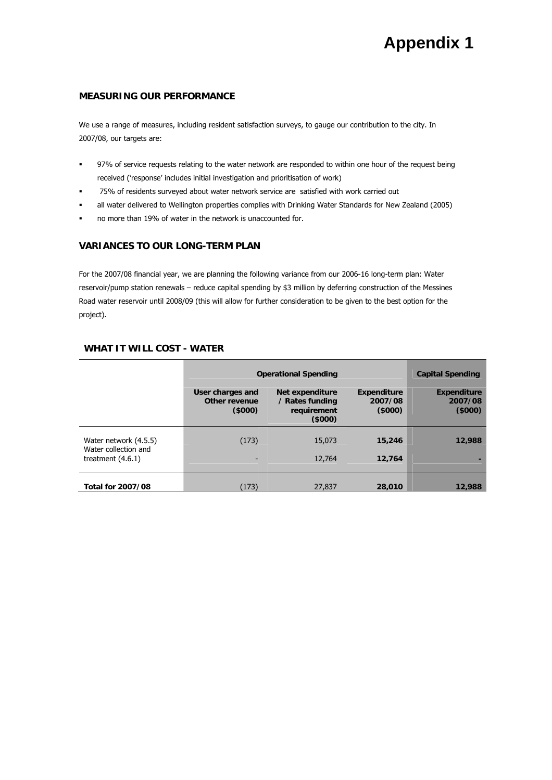### **MEASURING OUR PERFORMANCE**

We use a range of measures, including resident satisfaction surveys, to gauge our contribution to the city. In 2007/08, our targets are:

- 97% of service requests relating to the water network are responded to within one hour of the request being received ('response' includes initial investigation and prioritisation of work)
- 75% of residents surveyed about water network service are satisfied with work carried out
- all water delivered to Wellington properties complies with Drinking Water Standards for New Zealand (2005)
- no more than 19% of water in the network is unaccounted for.

### **VARIANCES TO OUR LONG-TERM PLAN**

For the 2007/08 financial year, we are planning the following variance from our 2006-16 long-term plan: Water reservoir/pump station renewals – reduce capital spending by \$3 million by deferring construction of the Messines Road water reservoir until 2008/09 (this will allow for further consideration to be given to the best option for the project).

#### **WHAT IT WILL COST - WATER**

|                                                                      | <b>Operational Spending</b>                 | <b>Capital Spending</b>                                     |                                         |                                         |
|----------------------------------------------------------------------|---------------------------------------------|-------------------------------------------------------------|-----------------------------------------|-----------------------------------------|
|                                                                      | User charges and<br>Other revenue<br>(5000) | Net expenditure<br>/ Rates funding<br>requirement<br>(5000) | <b>Expenditure</b><br>2007/08<br>(5000) | <b>Expenditure</b><br>2007/08<br>(5000) |
| Water network (4.5.5)<br>Water collection and<br>treatment $(4.6.1)$ | (173)                                       | 15,073<br>12,764                                            | 15,246<br>12.764                        | 12,988                                  |
| <b>Total for 2007/08</b>                                             | (173)                                       | 27,837                                                      | 28,010                                  | 12,988                                  |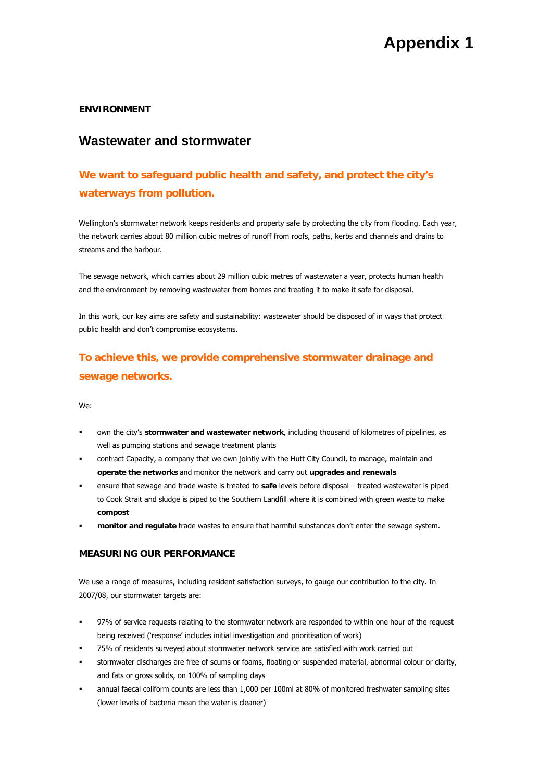### **ENVIRONMENT**

## **Wastewater and stormwater**

# **We want to safeguard public health and safety, and protect the city's waterways from pollution.**

Wellington's stormwater network keeps residents and property safe by protecting the city from flooding. Each year, the network carries about 80 million cubic metres of runoff from roofs, paths, kerbs and channels and drains to streams and the harbour.

The sewage network, which carries about 29 million cubic metres of wastewater a year, protects human health and the environment by removing wastewater from homes and treating it to make it safe for disposal.

In this work, our key aims are safety and sustainability: wastewater should be disposed of in ways that protect public health and don't compromise ecosystems.

# **To achieve this, we provide comprehensive stormwater drainage and sewage networks.**

We:

- own the city's **stormwater and wastewater network**, including thousand of kilometres of pipelines, as well as pumping stations and sewage treatment plants
- contract Capacity, a company that we own jointly with the Hutt City Council, to manage, maintain and **operate the networks** and monitor the network and carry out **upgrades and renewals**
- ensure that sewage and trade waste is treated to **safe** levels before disposal treated wastewater is piped to Cook Strait and sludge is piped to the Southern Landfill where it is combined with green waste to make **compost**
- **monitor and regulate** trade wastes to ensure that harmful substances don't enter the sewage system.

### **MEASURING OUR PERFORMANCE**

We use a range of measures, including resident satisfaction surveys, to gauge our contribution to the city. In 2007/08, our stormwater targets are:

- 97% of service requests relating to the stormwater network are responded to within one hour of the request being received ('response' includes initial investigation and prioritisation of work)
- 75% of residents surveyed about stormwater network service are satisfied with work carried out
- stormwater discharges are free of scums or foams, floating or suspended material, abnormal colour or clarity, and fats or gross solids, on 100% of sampling days
- annual faecal coliform counts are less than 1,000 per 100ml at 80% of monitored freshwater sampling sites (lower levels of bacteria mean the water is cleaner)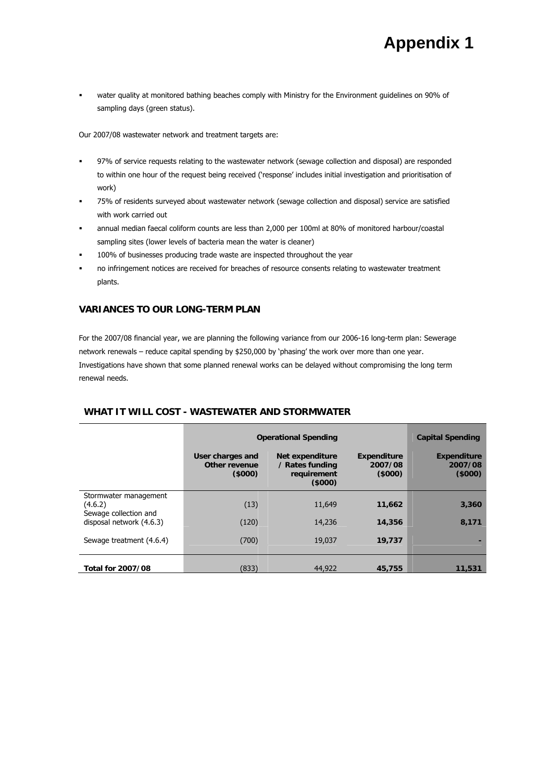water quality at monitored bathing beaches comply with Ministry for the Environment guidelines on 90% of sampling days (green status).

Our 2007/08 wastewater network and treatment targets are:

- 97% of service requests relating to the wastewater network (sewage collection and disposal) are responded to within one hour of the request being received ('response' includes initial investigation and prioritisation of work)
- 75% of residents surveyed about wastewater network (sewage collection and disposal) service are satisfied with work carried out
- annual median faecal coliform counts are less than 2,000 per 100ml at 80% of monitored harbour/coastal sampling sites (lower levels of bacteria mean the water is cleaner)
- 100% of businesses producing trade waste are inspected throughout the year
- no infringement notices are received for breaches of resource consents relating to wastewater treatment plants.

### **VARIANCES TO OUR LONG-TERM PLAN**

For the 2007/08 financial year, we are planning the following variance from our 2006-16 long-term plan: Sewerage network renewals – reduce capital spending by \$250,000 by 'phasing' the work over more than one year. Investigations have shown that some planned renewal works can be delayed without compromising the long term renewal needs.

#### **Operational Spending Capital Spending Capital Spending User charges and Other revenue (\$000) Net expenditure / Rates funding requirement (\$000) Expenditure 2007/08 (\$000) Expenditure 2007/08 (\$000)**  Stormwater management (4.6.2) (13) 11,649 **11,662 3,360**  Sewage collection and disposal network (4.6.3) (120) 14,236 **14,356 8,171**  Sewage treatment (4.6.4) (700) 19,037 **19,737 - Total for 2007/08**  (833) 44,922 **45,755 11,531**

#### **WHAT IT WILL COST - WASTEWATER AND STORMWATER**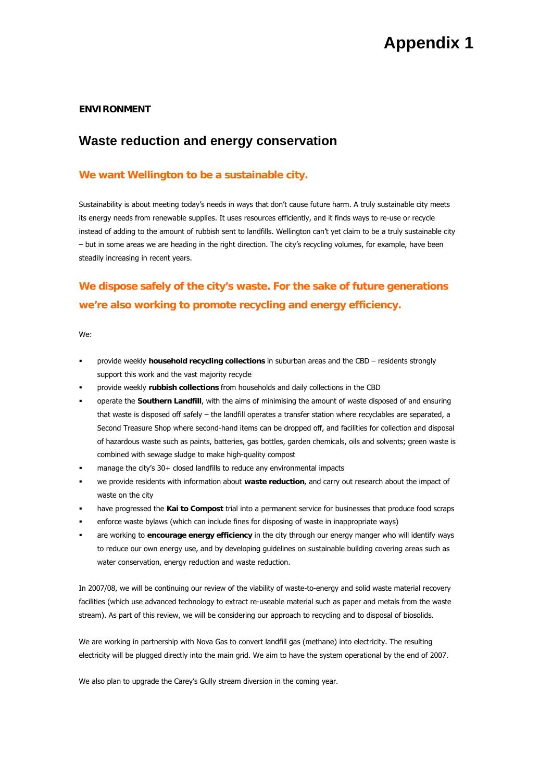#### **ENVIRONMENT**

## **Waste reduction and energy conservation**

### **We want Wellington to be a sustainable city.**

Sustainability is about meeting today's needs in ways that don't cause future harm. A truly sustainable city meets its energy needs from renewable supplies. It uses resources efficiently, and it finds ways to re-use or recycle instead of adding to the amount of rubbish sent to landfills. Wellington can't yet claim to be a truly sustainable city – but in some areas we are heading in the right direction. The city's recycling volumes, for example, have been steadily increasing in recent years.

# **We dispose safely of the city's waste. For the sake of future generations we're also working to promote recycling and energy efficiency.**

We:

- provide weekly **household recycling collections** in suburban areas and the CBD residents strongly support this work and the vast majority recycle
- provide weekly **rubbish collections** from households and daily collections in the CBD
- operate the **Southern Landfill**, with the aims of minimising the amount of waste disposed of and ensuring that waste is disposed off safely – the landfill operates a transfer station where recyclables are separated, a Second Treasure Shop where second-hand items can be dropped off, and facilities for collection and disposal of hazardous waste such as paints, batteries, gas bottles, garden chemicals, oils and solvents; green waste is combined with sewage sludge to make high-quality compost
- manage the city's 30+ closed landfills to reduce any environmental impacts
- we provide residents with information about **waste reduction**, and carry out research about the impact of waste on the city
- have progressed the **Kai to Compost** trial into a permanent service for businesses that produce food scraps
- enforce waste bylaws (which can include fines for disposing of waste in inappropriate ways)
- are working to **encourage energy efficiency** in the city through our energy manger who will identify ways to reduce our own energy use, and by developing guidelines on sustainable building covering areas such as water conservation, energy reduction and waste reduction.

In 2007/08, we will be continuing our review of the viability of waste-to-energy and solid waste material recovery facilities (which use advanced technology to extract re-useable material such as paper and metals from the waste stream). As part of this review, we will be considering our approach to recycling and to disposal of biosolids.

We are working in partnership with Nova Gas to convert landfill gas (methane) into electricity. The resulting electricity will be plugged directly into the main grid. We aim to have the system operational by the end of 2007.

We also plan to upgrade the Carey's Gully stream diversion in the coming year.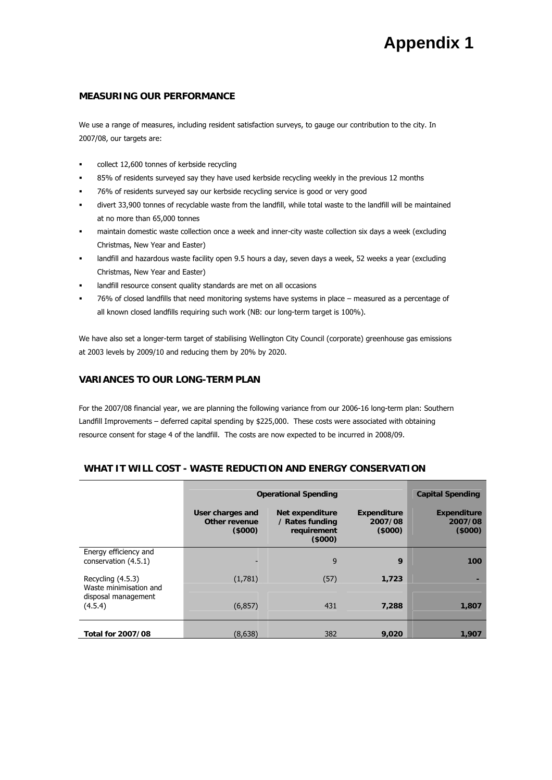### **MEASURING OUR PERFORMANCE**

We use a range of measures, including resident satisfaction surveys, to gauge our contribution to the city. In 2007/08, our targets are:

- collect 12,600 tonnes of kerbside recycling
- 85% of residents surveyed say they have used kerbside recycling weekly in the previous 12 months
- 76% of residents surveyed say our kerbside recycling service is good or very good
- divert 33,900 tonnes of recyclable waste from the landfill, while total waste to the landfill will be maintained at no more than 65,000 tonnes
- maintain domestic waste collection once a week and inner-city waste collection six days a week (excluding Christmas, New Year and Easter)
- landfill and hazardous waste facility open 9.5 hours a day, seven days a week, 52 weeks a year (excluding Christmas, New Year and Easter)
- landfill resource consent quality standards are met on all occasions
- 76% of closed landfills that need monitoring systems have systems in place measured as a percentage of all known closed landfills requiring such work (NB: our long-term target is 100%).

We have also set a longer-term target of stabilising Wellington City Council (corporate) greenhouse gas emissions at 2003 levels by 2009/10 and reducing them by 20% by 2020.

#### **VARIANCES TO OUR LONG-TERM PLAN**

For the 2007/08 financial year, we are planning the following variance from our 2006-16 long-term plan: Southern Landfill Improvements – deferred capital spending by \$225,000. These costs were associated with obtaining resource consent for stage 4 of the landfill. The costs are now expected to be incurred in 2008/09.

|                                               | <b>Operational Spending</b>                 | <b>Capital Spending</b>                                     |                                         |                                         |
|-----------------------------------------------|---------------------------------------------|-------------------------------------------------------------|-----------------------------------------|-----------------------------------------|
|                                               | User charges and<br>Other revenue<br>(5000) | Net expenditure<br>/ Rates funding<br>requirement<br>(5000) | <b>Expenditure</b><br>2007/08<br>(5000) | <b>Expenditure</b><br>2007/08<br>(5000) |
| Energy efficiency and<br>conservation (4.5.1) |                                             | 9                                                           | 9                                       | 100                                     |
| Recycling (4.5.3)<br>Waste minimisation and   | (1,781)                                     | (57)                                                        | 1.723                                   |                                         |
| disposal management<br>(4.5.4)                | (6, 857)                                    | 431                                                         | 7.288                                   | 1,807                                   |
| <b>Total for 2007/08</b>                      | (8,638)                                     | 382                                                         | 9,020                                   | 1,907                                   |

#### **WHAT IT WILL COST - WASTE REDUCTION AND ENERGY CONSERVATION**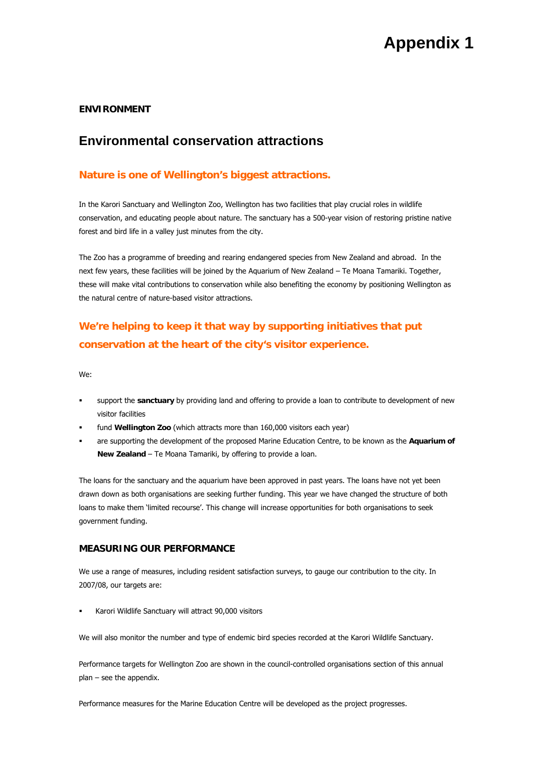### **ENVIRONMENT**

## **Environmental conservation attractions**

### **Nature is one of Wellington's biggest attractions.**

In the Karori Sanctuary and Wellington Zoo, Wellington has two facilities that play crucial roles in wildlife conservation, and educating people about nature. The sanctuary has a 500-year vision of restoring pristine native forest and bird life in a valley just minutes from the city.

The Zoo has a programme of breeding and rearing endangered species from New Zealand and abroad. In the next few years, these facilities will be joined by the Aquarium of New Zealand – Te Moana Tamariki. Together, these will make vital contributions to conservation while also benefiting the economy by positioning Wellington as the natural centre of nature-based visitor attractions.

# **We're helping to keep it that way by supporting initiatives that put conservation at the heart of the city's visitor experience.**

We:

- support the **sanctuary** by providing land and offering to provide a loan to contribute to development of new visitor facilities
- fund **Wellington Zoo** (which attracts more than 160,000 visitors each year)
- are supporting the development of the proposed Marine Education Centre, to be known as the **Aquarium of New Zealand** – Te Moana Tamariki, by offering to provide a loan.

The loans for the sanctuary and the aquarium have been approved in past years. The loans have not yet been drawn down as both organisations are seeking further funding. This year we have changed the structure of both loans to make them 'limited recourse'. This change will increase opportunities for both organisations to seek government funding.

#### **MEASURING OUR PERFORMANCE**

We use a range of measures, including resident satisfaction surveys, to gauge our contribution to the city. In 2007/08, our targets are:

Karori Wildlife Sanctuary will attract 90,000 visitors

We will also monitor the number and type of endemic bird species recorded at the Karori Wildlife Sanctuary.

Performance targets for Wellington Zoo are shown in the council-controlled organisations section of this annual plan – see the appendix.

Performance measures for the Marine Education Centre will be developed as the project progresses.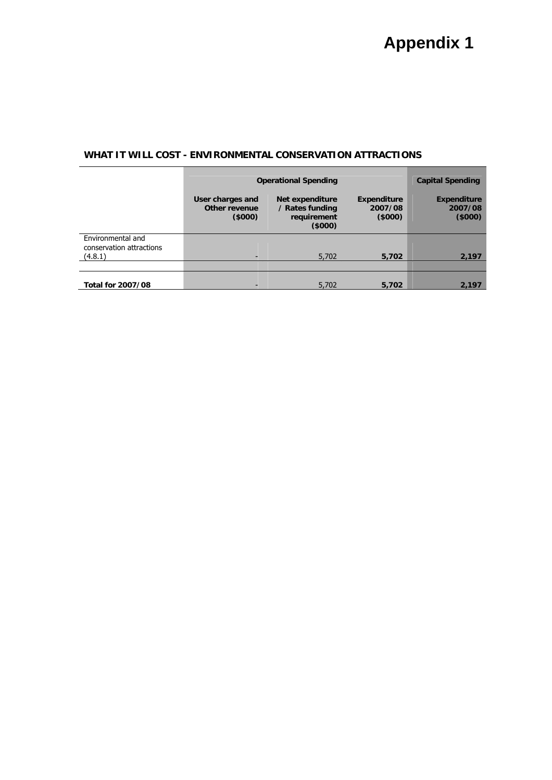## **WHAT IT WILL COST - ENVIRONMENTAL CONSERVATION ATTRACTIONS**

|                                                          | <b>Operational Spending</b>                 |                                                             |                                         | <b>Capital Spending</b>                 |
|----------------------------------------------------------|---------------------------------------------|-------------------------------------------------------------|-----------------------------------------|-----------------------------------------|
|                                                          | User charges and<br>Other revenue<br>(5000) | Net expenditure<br>/ Rates funding<br>requirement<br>(5000) | <b>Expenditure</b><br>2007/08<br>(5000) | <b>Expenditure</b><br>2007/08<br>(5000) |
| Environmental and<br>conservation attractions<br>(4.8.1) |                                             | 5,702                                                       | 5,702                                   | 2,197                                   |
|                                                          |                                             |                                                             |                                         |                                         |
| <b>Total for 2007/08</b>                                 |                                             | 5,702                                                       | 5.702                                   | 2,197                                   |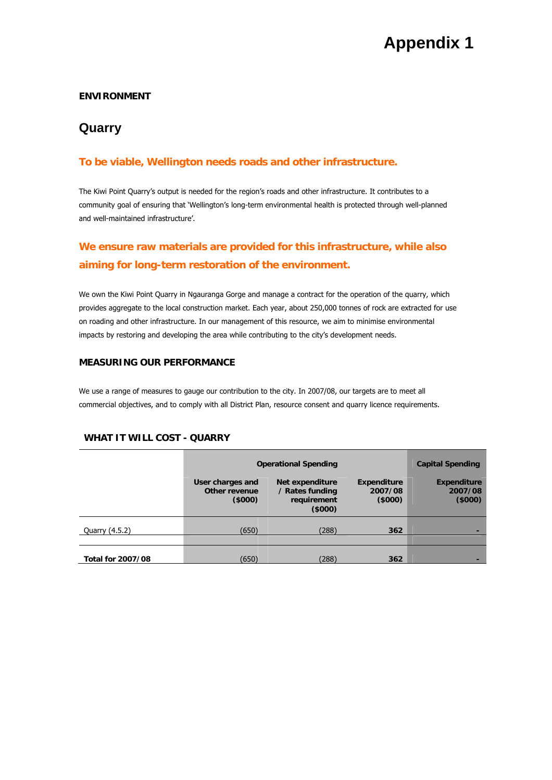## **ENVIRONMENT**

# **Quarry**

## **To be viable, Wellington needs roads and other infrastructure.**

The Kiwi Point Quarry's output is needed for the region's roads and other infrastructure. It contributes to a community goal of ensuring that 'Wellington's long-term environmental health is protected through well-planned and well-maintained infrastructure'.

# **We ensure raw materials are provided for this infrastructure, while also aiming for long-term restoration of the environment.**

We own the Kiwi Point Quarry in Ngauranga Gorge and manage a contract for the operation of the quarry, which provides aggregate to the local construction market. Each year, about 250,000 tonnes of rock are extracted for use on roading and other infrastructure. In our management of this resource, we aim to minimise environmental impacts by restoring and developing the area while contributing to the city's development needs.

## **MEASURING OUR PERFORMANCE**

We use a range of measures to gauge our contribution to the city. In 2007/08, our targets are to meet all commercial objectives, and to comply with all District Plan, resource consent and quarry licence requirements.

### **WHAT IT WILL COST - QUARRY**

|                          | <b>Operational Spending</b>                 |                                                             |                                  | <b>Capital Spending</b>                 |
|--------------------------|---------------------------------------------|-------------------------------------------------------------|----------------------------------|-----------------------------------------|
|                          | User charges and<br>Other revenue<br>(5000) | Net expenditure<br>/ Rates funding<br>requirement<br>(5000) | Expenditure<br>2007/08<br>(5000) | <b>Expenditure</b><br>2007/08<br>(5000) |
| Quarry (4.5.2)           | (650)                                       | (288)                                                       | 362                              |                                         |
|                          |                                             |                                                             |                                  |                                         |
| <b>Total for 2007/08</b> | (650)                                       | (288)                                                       | 362                              |                                         |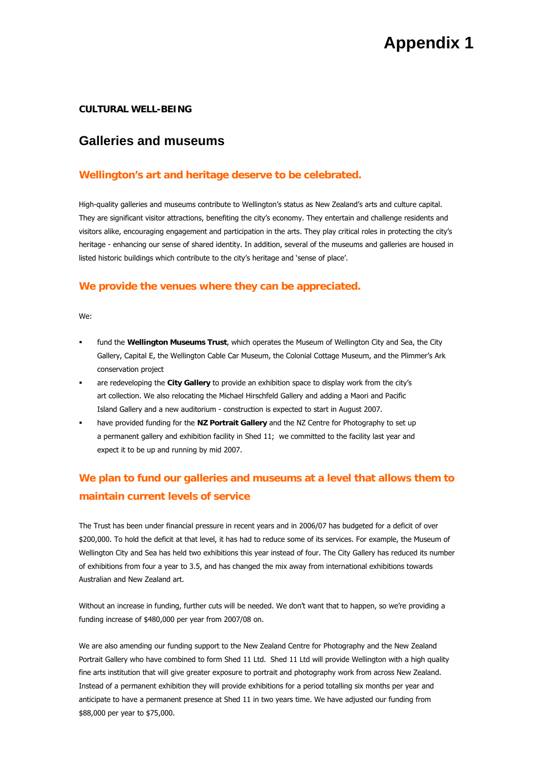#### **CULTURAL WELL-BEING**

## **Galleries and museums**

## **Wellington's art and heritage deserve to be celebrated.**

High-quality galleries and museums contribute to Wellington's status as New Zealand's arts and culture capital. They are significant visitor attractions, benefiting the city's economy. They entertain and challenge residents and visitors alike, encouraging engagement and participation in the arts. They play critical roles in protecting the city's heritage - enhancing our sense of shared identity. In addition, several of the museums and galleries are housed in listed historic buildings which contribute to the city's heritage and 'sense of place'.

### **We provide the venues where they can be appreciated.**

We:

- fund the **Wellington Museums Trust**, which operates the Museum of Wellington City and Sea, the City Gallery, Capital E, the Wellington Cable Car Museum, the Colonial Cottage Museum, and the Plimmer's Ark conservation project
- are redeveloping the **City Gallery** to provide an exhibition space to display work from the city's art collection. We also relocating the Michael Hirschfeld Gallery and adding a Maori and Pacific Island Gallery and a new auditorium - construction is expected to start in August 2007.
- have provided funding for the **NZ Portrait Gallery** and the NZ Centre for Photography to set up a permanent gallery and exhibition facility in Shed 11; we committed to the facility last year and expect it to be up and running by mid 2007.

# **We plan to fund our galleries and museums at a level that allows them to maintain current levels of service**

The Trust has been under financial pressure in recent years and in 2006/07 has budgeted for a deficit of over \$200,000. To hold the deficit at that level, it has had to reduce some of its services. For example, the Museum of Wellington City and Sea has held two exhibitions this year instead of four. The City Gallery has reduced its number of exhibitions from four a year to 3.5, and has changed the mix away from international exhibitions towards Australian and New Zealand art.

Without an increase in funding, further cuts will be needed. We don't want that to happen, so we're providing a funding increase of \$480,000 per year from 2007/08 on.

We are also amending our funding support to the New Zealand Centre for Photography and the New Zealand Portrait Gallery who have combined to form Shed 11 Ltd. Shed 11 Ltd will provide Wellington with a high quality fine arts institution that will give greater exposure to portrait and photography work from across New Zealand. Instead of a permanent exhibition they will provide exhibitions for a period totalling six months per year and anticipate to have a permanent presence at Shed 11 in two years time. We have adjusted our funding from \$88,000 per year to \$75,000.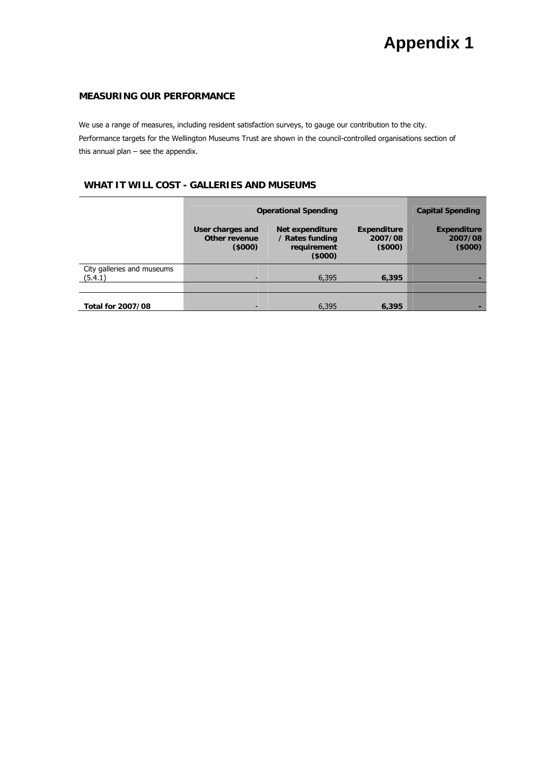## **MEASURING OUR PERFORMANCE**

We use a range of measures, including resident satisfaction surveys, to gauge our contribution to the city. Performance targets for the Wellington Museums Trust are shown in the council-controlled organisations section of this annual plan – see the appendix.

### **WHAT IT WILL COST - GALLERIES AND MUSEUMS**

|                                       | <b>Operational Spending</b>                 |                                                             |                                  | <b>Capital Spending</b>                 |
|---------------------------------------|---------------------------------------------|-------------------------------------------------------------|----------------------------------|-----------------------------------------|
|                                       | User charges and<br>Other revenue<br>(5000) | Net expenditure<br>/ Rates funding<br>requirement<br>(5000) | Expenditure<br>2007/08<br>(5000) | <b>Expenditure</b><br>2007/08<br>(5000) |
| City galleries and museums<br>(5.4.1) |                                             | 6,395                                                       | 6,395                            |                                         |
|                                       |                                             |                                                             |                                  |                                         |
| <b>Total for 2007/08</b>              |                                             | 6,395                                                       | 6.395                            |                                         |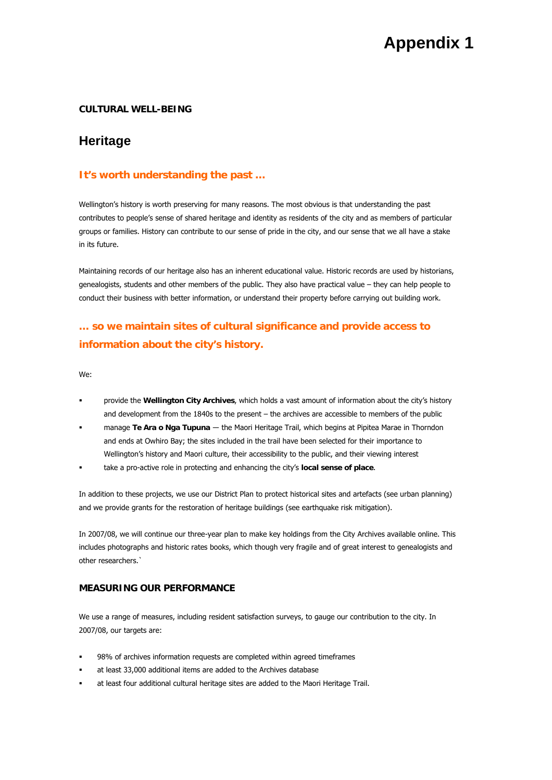#### **CULTURAL WELL-BEING**

## **Heritage**

## **It's worth understanding the past …**

Wellington's history is worth preserving for many reasons. The most obvious is that understanding the past contributes to people's sense of shared heritage and identity as residents of the city and as members of particular groups or families. History can contribute to our sense of pride in the city, and our sense that we all have a stake in its future.

Maintaining records of our heritage also has an inherent educational value. Historic records are used by historians, genealogists, students and other members of the public. They also have practical value – they can help people to conduct their business with better information, or understand their property before carrying out building work.

## **… so we maintain sites of cultural significance and provide access to information about the city's history.**

We:

- provide the **Wellington City Archives**, which holds a vast amount of information about the city's history and development from the 1840s to the present – the archives are accessible to members of the public
- manage **Te Ara o Nga Tupuna** ― the Maori Heritage Trail, which begins at Pipitea Marae in Thorndon and ends at Owhiro Bay; the sites included in the trail have been selected for their importance to Wellington's history and Maori culture, their accessibility to the public, and their viewing interest
- take a pro-active role in protecting and enhancing the city's **local sense of place**.

In addition to these projects, we use our District Plan to protect historical sites and artefacts (see urban planning) and we provide grants for the restoration of heritage buildings (see earthquake risk mitigation).

In 2007/08, we will continue our three-year plan to make key holdings from the City Archives available online. This includes photographs and historic rates books, which though very fragile and of great interest to genealogists and other researchers.`

## **MEASURING OUR PERFORMANCE**

We use a range of measures, including resident satisfaction surveys, to gauge our contribution to the city. In 2007/08, our targets are:

- 98% of archives information requests are completed within agreed timeframes
- at least 33,000 additional items are added to the Archives database
- at least four additional cultural heritage sites are added to the Maori Heritage Trail.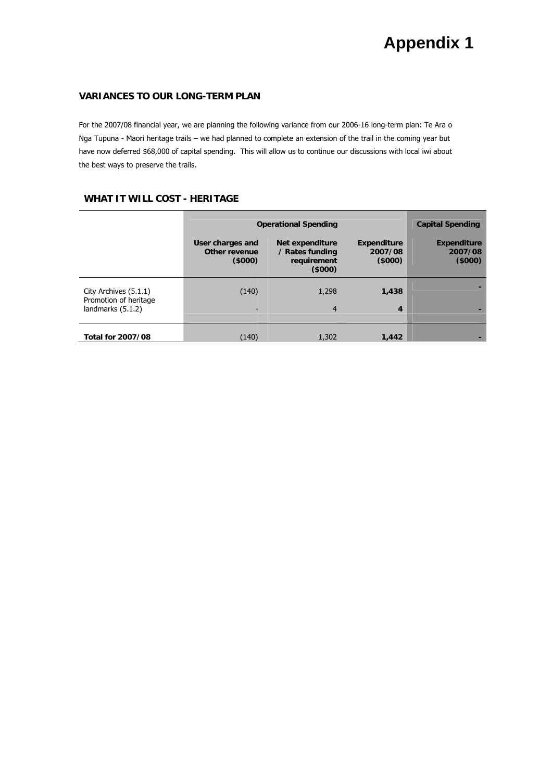## **VARIANCES TO OUR LONG-TERM PLAN**

For the 2007/08 financial year, we are planning the following variance from our 2006-16 long-term plan: Te Ara o Nga Tupuna - Maori heritage trails – we had planned to complete an extension of the trail in the coming year but have now deferred \$68,000 of capital spending. This will allow us to continue our discussions with local iwi about the best ways to preserve the trails.

## **WHAT IT WILL COST - HERITAGE**

|                                                                     | <b>Operational Spending</b>                 | <b>Capital Spending</b>                                     |                                         |                                         |
|---------------------------------------------------------------------|---------------------------------------------|-------------------------------------------------------------|-----------------------------------------|-----------------------------------------|
|                                                                     | User charges and<br>Other revenue<br>(5000) | Net expenditure<br>/ Rates funding<br>requirement<br>(5000) | <b>Expenditure</b><br>2007/08<br>(5000) | <b>Expenditure</b><br>2007/08<br>(5000) |
| City Archives (5.1.1)<br>Promotion of heritage<br>landmarks (5.1.2) | (140)<br>$\overline{\phantom{a}}$           | 1,298<br>$\overline{4}$                                     | 1,438<br>4                              |                                         |
| <b>Total for 2007/08</b>                                            | (140)                                       | 1,302                                                       | 1,442                                   |                                         |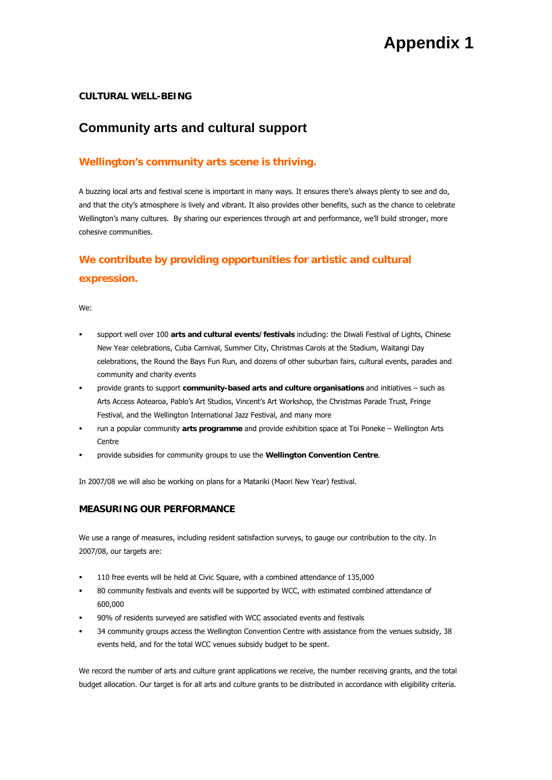### **CULTURAL WELL-BEING**

# **Community arts and cultural support**

## **Wellington's community arts scene is thriving.**

A buzzing local arts and festival scene is important in many ways. It ensures there's always plenty to see and do, and that the city's atmosphere is lively and vibrant. It also provides other benefits, such as the chance to celebrate Wellington's many cultures. By sharing our experiences through art and performance, we'll build stronger, more cohesive communities.

# **We contribute by providing opportunities for artistic and cultural expression.**

We:

- support well over 100 **arts and cultural events/festivals** including: the Diwali Festival of Lights, Chinese New Year celebrations, Cuba Carnival, Summer City, Christmas Carols at the Stadium, Waitangi Day celebrations, the Round the Bays Fun Run, and dozens of other suburban fairs, cultural events, parades and community and charity events
- provide grants to support **community-based arts and culture organisations** and initiatives such as Arts Access Aotearoa, Pablo's Art Studios, Vincent's Art Workshop, the Christmas Parade Trust, Fringe Festival, and the Wellington International Jazz Festival, and many more
- run a popular community **arts programme** and provide exhibition space at Toi Poneke Wellington Arts **Centre**
- provide subsidies for community groups to use the **Wellington Convention Centre**.

In 2007/08 we will also be working on plans for a Matariki (Maori New Year) festival.

#### **MEASURING OUR PERFORMANCE**

We use a range of measures, including resident satisfaction surveys, to gauge our contribution to the city. In 2007/08, our targets are:

- 110 free events will be held at Civic Square, with a combined attendance of 135,000
- 80 community festivals and events will be supported by WCC, with estimated combined attendance of 600,000
- 90% of residents surveyed are satisfied with WCC associated events and festivals
- 34 community groups access the Wellington Convention Centre with assistance from the venues subsidy, 38 events held, and for the total WCC venues subsidy budget to be spent.

We record the number of arts and culture grant applications we receive, the number receiving grants, and the total budget allocation. Our target is for all arts and culture grants to be distributed in accordance with eligibility criteria.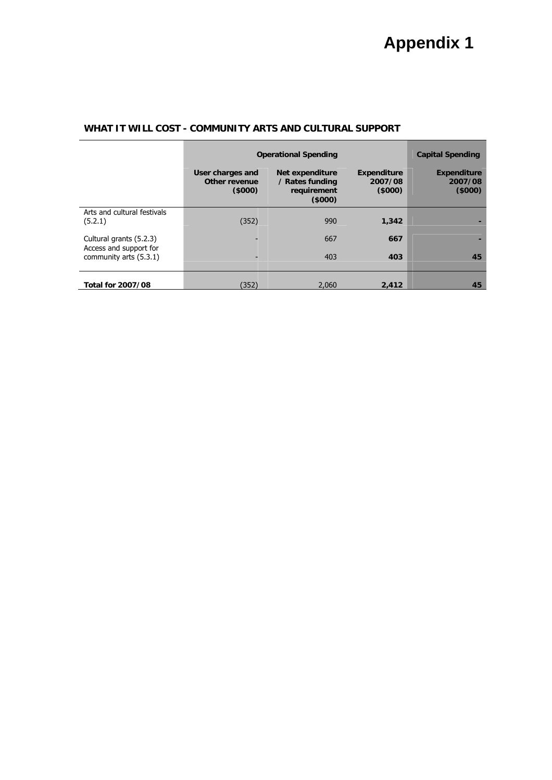|                                                  | <b>Operational Spending</b>                 | <b>Capital Spending</b>                                            |                                         |                                         |
|--------------------------------------------------|---------------------------------------------|--------------------------------------------------------------------|-----------------------------------------|-----------------------------------------|
|                                                  | User charges and<br>Other revenue<br>(5000) | <b>Net expenditure</b><br>/ Rates funding<br>requirement<br>(5000) | <b>Expenditure</b><br>2007/08<br>(5000) | <b>Expenditure</b><br>2007/08<br>(5000) |
| Arts and cultural festivals<br>(5.2.1)           | (352)                                       | 990                                                                | 1,342                                   |                                         |
| Cultural grants (5.2.3)                          |                                             | 667                                                                | 667                                     |                                         |
| Access and support for<br>community arts (5.3.1) |                                             | 403                                                                | 403                                     | 45                                      |
| <b>Total for 2007/08</b>                         | (352)                                       | 2.060                                                              | 2,412                                   | 45                                      |

## **WHAT IT WILL COST - COMMUNITY ARTS AND CULTURAL SUPPORT**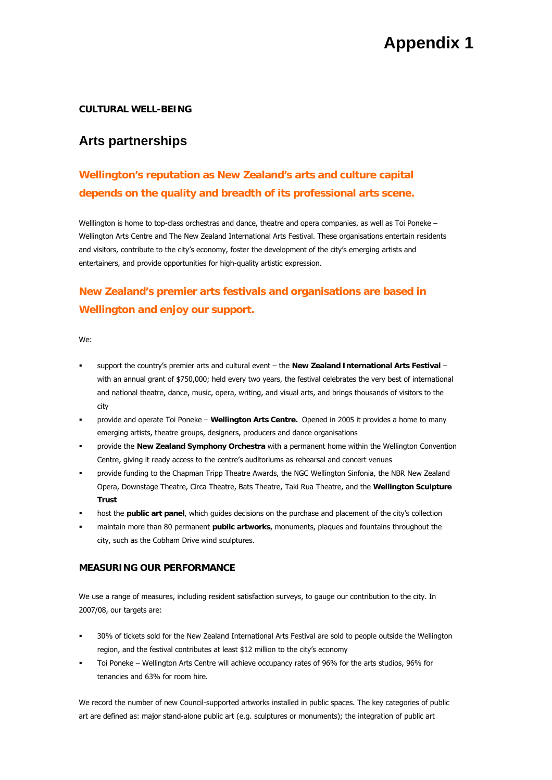### **CULTURAL WELL-BEING**

## **Arts partnerships**

# **Wellington's reputation as New Zealand's arts and culture capital depends on the quality and breadth of its professional arts scene.**

Welllington is home to top-class orchestras and dance, theatre and opera companies, as well as Toi Poneke – Wellington Arts Centre and The New Zealand International Arts Festival. These organisations entertain residents and visitors, contribute to the city's economy, foster the development of the city's emerging artists and entertainers, and provide opportunities for high-quality artistic expression.

# **New Zealand's premier arts festivals and organisations are based in Wellington and enjoy our support.**

We:

- support the country's premier arts and cultural event the **New Zealand International Arts Festival** with an annual grant of \$750,000; held every two years, the festival celebrates the very best of international and national theatre, dance, music, opera, writing, and visual arts, and brings thousands of visitors to the city
- provide and operate Toi Poneke **Wellington Arts Centre.** Opened in 2005 it provides a home to many emerging artists, theatre groups, designers, producers and dance organisations
- provide the **New Zealand Symphony Orchestra** with a permanent home within the Wellington Convention Centre, giving it ready access to the centre's auditoriums as rehearsal and concert venues
- provide funding to the Chapman Tripp Theatre Awards, the NGC Wellington Sinfonia, the NBR New Zealand Opera, Downstage Theatre, Circa Theatre, Bats Theatre, Taki Rua Theatre, and the **Wellington Sculpture Trust**
- host the **public art panel**, which guides decisions on the purchase and placement of the city's collection
- maintain more than 80 permanent **public artworks**, monuments, plaques and fountains throughout the city, such as the Cobham Drive wind sculptures.

#### **MEASURING OUR PERFORMANCE**

We use a range of measures, including resident satisfaction surveys, to gauge our contribution to the city. In 2007/08, our targets are:

- 30% of tickets sold for the New Zealand International Arts Festival are sold to people outside the Wellington region, and the festival contributes at least \$12 million to the city's economy
- Toi Poneke Wellington Arts Centre will achieve occupancy rates of 96% for the arts studios, 96% for tenancies and 63% for room hire.

We record the number of new Council-supported artworks installed in public spaces. The key categories of public art are defined as: major stand-alone public art (e.g. sculptures or monuments); the integration of public art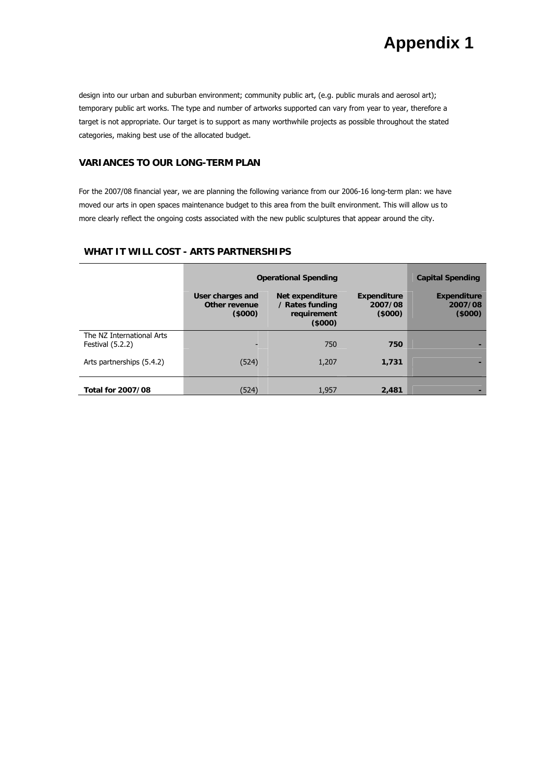design into our urban and suburban environment; community public art, (e.g. public murals and aerosol art); temporary public art works. The type and number of artworks supported can vary from year to year, therefore a target is not appropriate. Our target is to support as many worthwhile projects as possible throughout the stated categories, making best use of the allocated budget.

### **VARIANCES TO OUR LONG-TERM PLAN**

For the 2007/08 financial year, we are planning the following variance from our 2006-16 long-term plan: we have moved our arts in open spaces maintenance budget to this area from the built environment. This will allow us to more clearly reflect the ongoing costs associated with the new public sculptures that appear around the city.

## **WHAT IT WILL COST - ARTS PARTNERSHIPS**

|                                                 | <b>Operational Spending</b>                 | <b>Capital Spending</b>                                     |                                         |                                         |
|-------------------------------------------------|---------------------------------------------|-------------------------------------------------------------|-----------------------------------------|-----------------------------------------|
|                                                 | User charges and<br>Other revenue<br>(5000) | Net expenditure<br>/ Rates funding<br>requirement<br>(5000) | <b>Expenditure</b><br>2007/08<br>(5000) | <b>Expenditure</b><br>2007/08<br>(5000) |
| The NZ International Arts<br>Festival $(5.2.2)$ | -                                           | 750                                                         | 750                                     |                                         |
| Arts partnerships (5.4.2)                       | (524)                                       | 1,207                                                       | 1.731                                   |                                         |
| <b>Total for 2007/08</b>                        | (524)                                       | 1,957                                                       | 2,481                                   |                                         |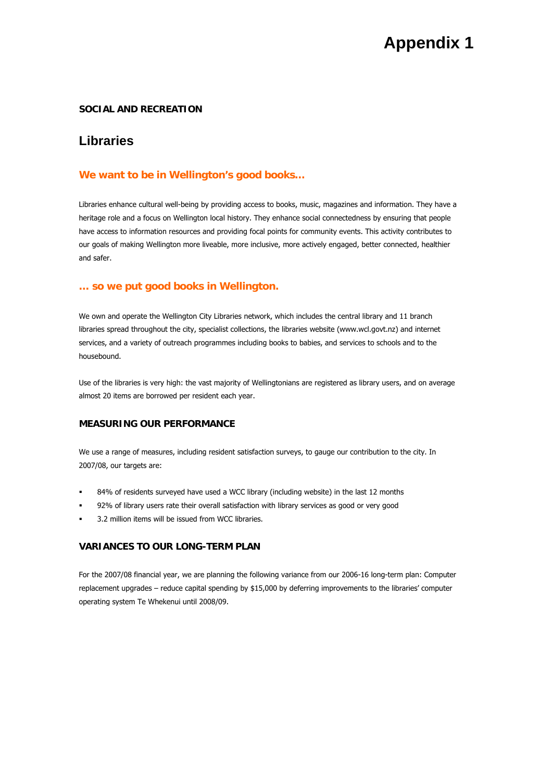### **SOCIAL AND RECREATION**

## **Libraries**

### **We want to be in Wellington's good books…**

Libraries enhance cultural well-being by providing access to books, music, magazines and information. They have a heritage role and a focus on Wellington local history. They enhance social connectedness by ensuring that people have access to information resources and providing focal points for community events. This activity contributes to our goals of making Wellington more liveable, more inclusive, more actively engaged, better connected, healthier and safer.

#### **… so we put good books in Wellington.**

We own and operate the Wellington City Libraries network, which includes the central library and 11 branch libraries spread throughout the city, specialist collections, the libraries website (www.wcl.govt.nz) and internet services, and a variety of outreach programmes including books to babies, and services to schools and to the housebound.

Use of the libraries is very high: the vast majority of Wellingtonians are registered as library users, and on average almost 20 items are borrowed per resident each year.

#### **MEASURING OUR PERFORMANCE**

We use a range of measures, including resident satisfaction surveys, to gauge our contribution to the city. In 2007/08, our targets are:

- 84% of residents surveyed have used a WCC library (including website) in the last 12 months
- 92% of library users rate their overall satisfaction with library services as good or very good
- 3.2 million items will be issued from WCC libraries.

## **VARIANCES TO OUR LONG-TERM PLAN**

For the 2007/08 financial year, we are planning the following variance from our 2006-16 long-term plan: Computer replacement upgrades – reduce capital spending by \$15,000 by deferring improvements to the libraries' computer operating system Te Whekenui until 2008/09.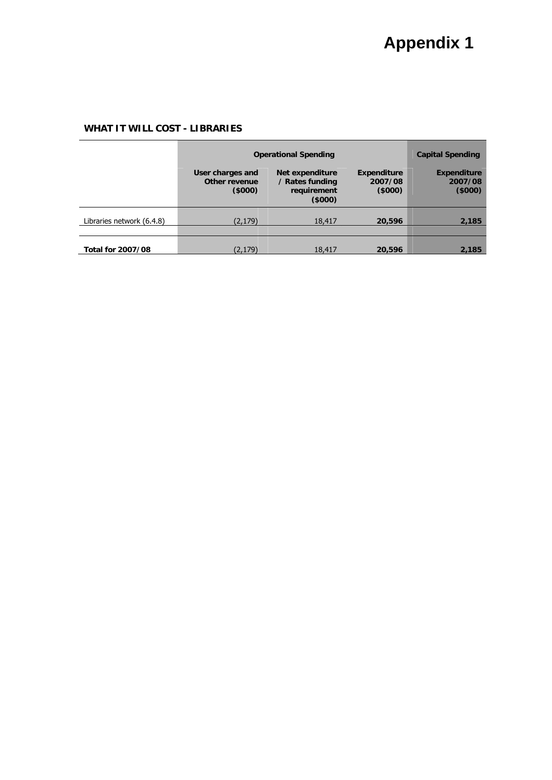## **WHAT IT WILL COST - LIBRARIES**

|                           | <b>Operational Spending</b>                 |                                                             |                                         | <b>Capital Spending</b>                 |
|---------------------------|---------------------------------------------|-------------------------------------------------------------|-----------------------------------------|-----------------------------------------|
|                           | User charges and<br>Other revenue<br>(5000) | Net expenditure<br>/ Rates funding<br>requirement<br>(5000) | <b>Expenditure</b><br>2007/08<br>(5000) | <b>Expenditure</b><br>2007/08<br>(5000) |
| Libraries network (6.4.8) | (2,179)                                     | 18,417                                                      | 20,596                                  | 2,185                                   |
|                           |                                             |                                                             |                                         |                                         |
| <b>Total for 2007/08</b>  | (2,179)                                     | 18,417                                                      | 20,596                                  | 2,185                                   |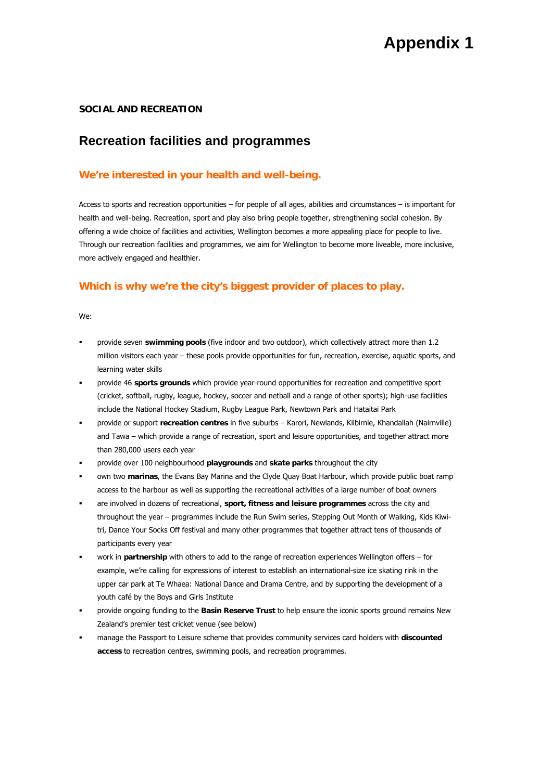#### **SOCIAL AND RECREATION**

## **Recreation facilities and programmes**

### **We're interested in your health and well-being.**

Access to sports and recreation opportunities – for people of all ages, abilities and circumstances – is important for health and well-being. Recreation, sport and play also bring people together, strengthening social cohesion. By offering a wide choice of facilities and activities, Wellington becomes a more appealing place for people to live. Through our recreation facilities and programmes, we aim for Wellington to become more liveable, more inclusive, more actively engaged and healthier.

### **Which is why we're the city's biggest provider of places to play.**

We:

- provide seven **swimming pools** (five indoor and two outdoor), which collectively attract more than 1.2 million visitors each year – these pools provide opportunities for fun, recreation, exercise, aquatic sports, and learning water skills
- provide 46 **sports grounds** which provide year-round opportunities for recreation and competitive sport (cricket, softball, rugby, league, hockey, soccer and netball and a range of other sports); high-use facilities include the National Hockey Stadium, Rugby League Park, Newtown Park and Hataitai Park
- provide or support **recreation centres** in five suburbs Karori, Newlands, Kilbirnie, Khandallah (Nairnville) and Tawa – which provide a range of recreation, sport and leisure opportunities, and together attract more than 280,000 users each year
- provide over 100 neighbourhood **playgrounds** and **skate parks** throughout the city
- own two **marinas**, the Evans Bay Marina and the Clyde Quay Boat Harbour, which provide public boat ramp access to the harbour as well as supporting the recreational activities of a large number of boat owners
- are involved in dozens of recreational, **sport, fitness and leisure programmes** across the city and throughout the year – programmes include the Run Swim series, Stepping Out Month of Walking, Kids Kiwitri, Dance Your Socks Off festival and many other programmes that together attract tens of thousands of participants every year
- work in **partnership** with others to add to the range of recreation experiences Wellington offers for example, we're calling for expressions of interest to establish an international-size ice skating rink in the upper car park at Te Whaea: National Dance and Drama Centre, and by supporting the development of a youth café by the Boys and Girls Institute
- provide ongoing funding to the **Basin Reserve Trust** to help ensure the iconic sports ground remains New Zealand's premier test cricket venue (see below)
- manage the Passport to Leisure scheme that provides community services card holders with **discounted access** to recreation centres, swimming pools, and recreation programmes.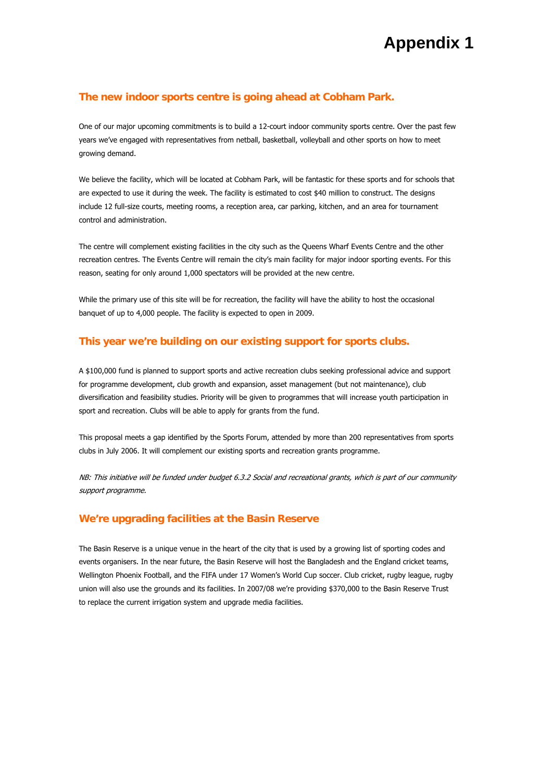### **The new indoor sports centre is going ahead at Cobham Park.**

One of our major upcoming commitments is to build a 12-court indoor community sports centre. Over the past few years we've engaged with representatives from netball, basketball, volleyball and other sports on how to meet growing demand.

We believe the facility, which will be located at Cobham Park, will be fantastic for these sports and for schools that are expected to use it during the week. The facility is estimated to cost \$40 million to construct. The designs include 12 full-size courts, meeting rooms, a reception area, car parking, kitchen, and an area for tournament control and administration.

The centre will complement existing facilities in the city such as the Queens Wharf Events Centre and the other recreation centres. The Events Centre will remain the city's main facility for major indoor sporting events. For this reason, seating for only around 1,000 spectators will be provided at the new centre.

While the primary use of this site will be for recreation, the facility will have the ability to host the occasional banquet of up to 4,000 people. The facility is expected to open in 2009.

### **This year we're building on our existing support for sports clubs.**

A \$100,000 fund is planned to support sports and active recreation clubs seeking professional advice and support for programme development, club growth and expansion, asset management (but not maintenance), club diversification and feasibility studies. Priority will be given to programmes that will increase youth participation in sport and recreation. Clubs will be able to apply for grants from the fund.

This proposal meets a gap identified by the Sports Forum, attended by more than 200 representatives from sports clubs in July 2006. It will complement our existing sports and recreation grants programme.

NB: This initiative will be funded under budget 6.3.2 Social and recreational grants, which is part of our community support programme.

#### **We're upgrading facilities at the Basin Reserve**

The Basin Reserve is a unique venue in the heart of the city that is used by a growing list of sporting codes and events organisers. In the near future, the Basin Reserve will host the Bangladesh and the England cricket teams, Wellington Phoenix Football, and the FIFA under 17 Women's World Cup soccer. Club cricket, rugby league, rugby union will also use the grounds and its facilities. In 2007/08 we're providing \$370,000 to the Basin Reserve Trust to replace the current irrigation system and upgrade media facilities.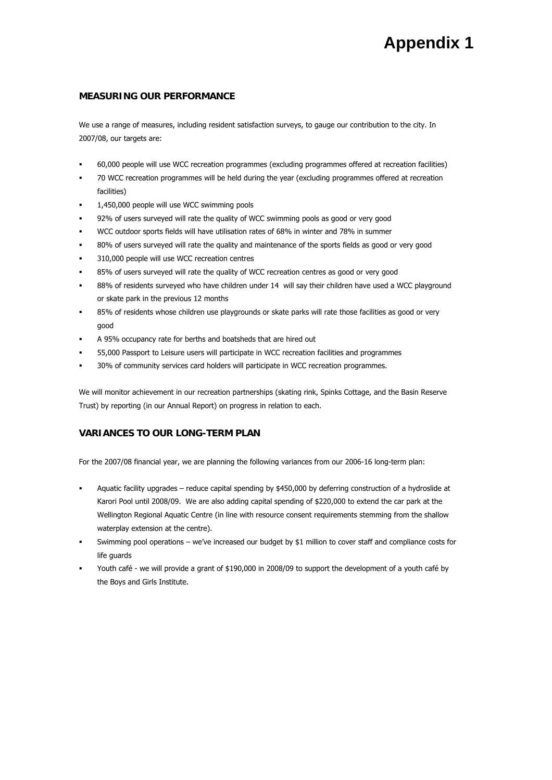### **MEASURING OUR PERFORMANCE**

We use a range of measures, including resident satisfaction surveys, to gauge our contribution to the city. In 2007/08, our targets are:

- 60,000 people will use WCC recreation programmes (excluding programmes offered at recreation facilities)
- 70 WCC recreation programmes will be held during the year (excluding programmes offered at recreation facilities)
- 1,450,000 people will use WCC swimming pools
- 92% of users surveyed will rate the quality of WCC swimming pools as good or very good
- WCC outdoor sports fields will have utilisation rates of 68% in winter and 78% in summer
- 80% of users surveyed will rate the quality and maintenance of the sports fields as good or very good
- 310,000 people will use WCC recreation centres
- 85% of users surveyed will rate the quality of WCC recreation centres as good or very good
- 88% of residents surveyed who have children under 14 will say their children have used a WCC playground or skate park in the previous 12 months
- 85% of residents whose children use playgrounds or skate parks will rate those facilities as good or very good
- A 95% occupancy rate for berths and boatsheds that are hired out
- 55,000 Passport to Leisure users will participate in WCC recreation facilities and programmes
- 30% of community services card holders will participate in WCC recreation programmes.

We will monitor achievement in our recreation partnerships (skating rink, Spinks Cottage, and the Basin Reserve Trust) by reporting (in our Annual Report) on progress in relation to each.

### **VARIANCES TO OUR LONG-TERM PLAN**

For the 2007/08 financial year, we are planning the following variances from our 2006-16 long-term plan:

- Aquatic facility upgrades reduce capital spending by \$450,000 by deferring construction of a hydroslide at Karori Pool until 2008/09. We are also adding capital spending of \$220,000 to extend the car park at the Wellington Regional Aquatic Centre (in line with resource consent requirements stemming from the shallow waterplay extension at the centre).
- Swimming pool operations we've increased our budget by \$1 million to cover staff and compliance costs for life guards
- Youth café we will provide a grant of \$190,000 in 2008/09 to support the development of a youth café by the Boys and Girls Institute.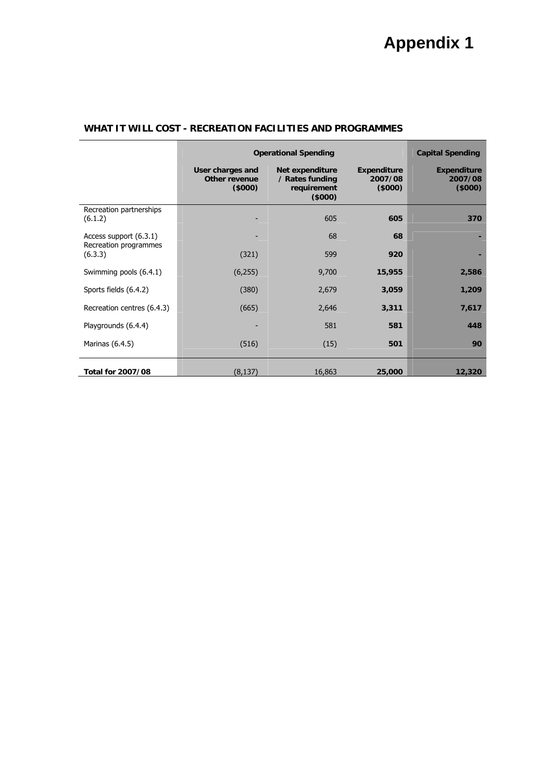|                                    | <b>Operational Spending</b>                 |                                                              |                                  | <b>Capital Spending</b>                 |
|------------------------------------|---------------------------------------------|--------------------------------------------------------------|----------------------------------|-----------------------------------------|
|                                    | User charges and<br>Other revenue<br>(5000) | Net expenditure<br>/ Rates funding<br>requirement<br>(\$000) | Expenditure<br>2007/08<br>(5000) | <b>Expenditure</b><br>2007/08<br>(5000) |
| Recreation partnerships<br>(6.1.2) |                                             | 605                                                          | 605                              | 370                                     |
| Access support (6.3.1)             |                                             | 68                                                           | 68                               |                                         |
| Recreation programmes<br>(6.3.3)   | (321)                                       | 599                                                          | 920                              |                                         |
| Swimming pools (6.4.1)             | (6,255)                                     | 9,700                                                        | 15,955                           | 2,586                                   |
| Sports fields (6.4.2)              | (380)                                       | 2,679                                                        | 3,059                            | 1,209                                   |
| Recreation centres (6.4.3)         | (665)                                       | 2,646                                                        | 3,311                            | 7,617                                   |
| Playgrounds (6.4.4)                |                                             | 581                                                          | 581                              | 448                                     |
| Marinas (6.4.5)                    | (516)                                       | (15)                                                         | 501                              | 90                                      |
| <b>Total for 2007/08</b>           | (8, 137)                                    | 16,863                                                       | 25,000                           | 12,320                                  |

## **WHAT IT WILL COST - RECREATION FACILITIES AND PROGRAMMES**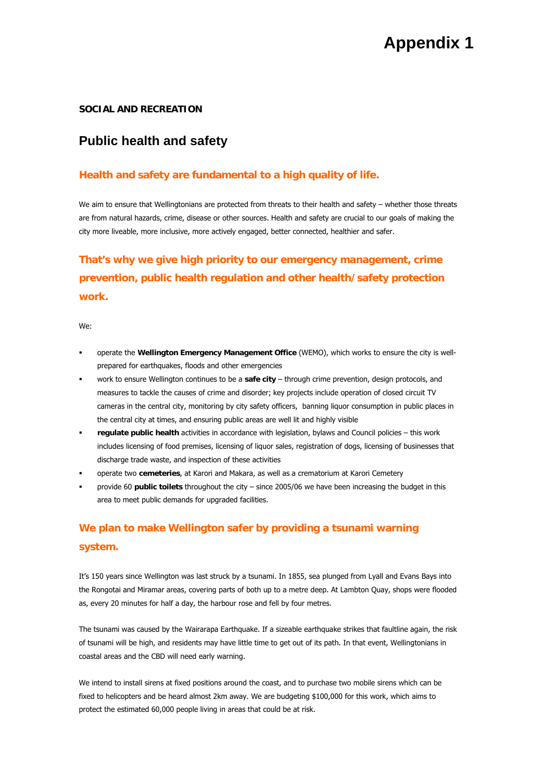### **SOCIAL AND RECREATION**

## **Public health and safety**

## **Health and safety are fundamental to a high quality of life.**

We aim to ensure that Wellingtonians are protected from threats to their health and safety – whether those threats are from natural hazards, crime, disease or other sources. Health and safety are crucial to our goals of making the city more liveable, more inclusive, more actively engaged, better connected, healthier and safer.

# **That's why we give high priority to our emergency management, crime prevention, public health regulation and other health/safety protection work.**

We:

- operate the **Wellington Emergency Management Office** (WEMO), which works to ensure the city is wellprepared for earthquakes, floods and other emergencies
- work to ensure Wellington continues to be a **safe city** through crime prevention, design protocols, and measures to tackle the causes of crime and disorder; key projects include operation of closed circuit TV cameras in the central city, monitoring by city safety officers, banning liquor consumption in public places in the central city at times, and ensuring public areas are well lit and highly visible
- **regulate public health** activities in accordance with legislation, bylaws and Council policies this work includes licensing of food premises, licensing of liquor sales, registration of dogs, licensing of businesses that discharge trade waste, and inspection of these activities
- operate two **cemeteries**, at Karori and Makara, as well as a crematorium at Karori Cemetery
- provide 60 **public toilets** throughout the city since 2005/06 we have been increasing the budget in this area to meet public demands for upgraded facilities.

# **We plan to make Wellington safer by providing a tsunami warning system.**

It's 150 years since Wellington was last struck by a tsunami. In 1855, sea plunged from Lyall and Evans Bays into the Rongotai and Miramar areas, covering parts of both up to a metre deep. At Lambton Quay, shops were flooded as, every 20 minutes for half a day, the harbour rose and fell by four metres.

The tsunami was caused by the Wairarapa Earthquake. If a sizeable earthquake strikes that faultline again, the risk of tsunami will be high, and residents may have little time to get out of its path. In that event, Wellingtonians in coastal areas and the CBD will need early warning.

We intend to install sirens at fixed positions around the coast, and to purchase two mobile sirens which can be fixed to helicopters and be heard almost 2km away. We are budgeting \$100,000 for this work, which aims to protect the estimated 60,000 people living in areas that could be at risk.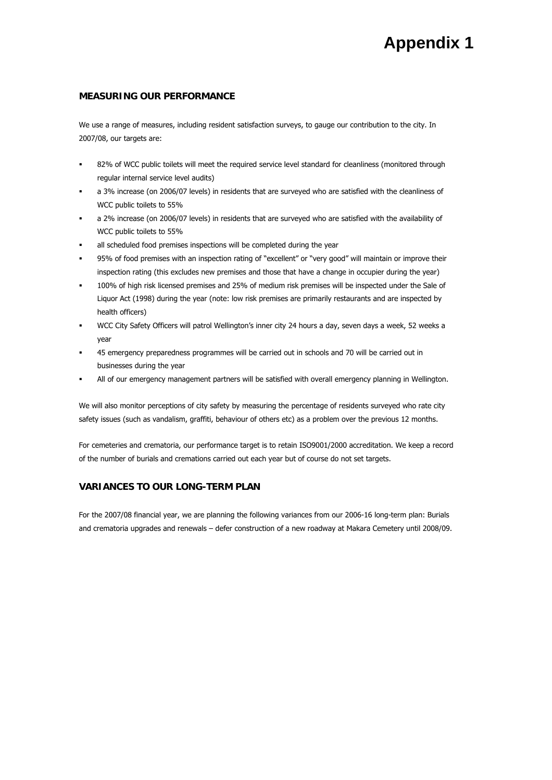#### **MEASURING OUR PERFORMANCE**

We use a range of measures, including resident satisfaction surveys, to gauge our contribution to the city. In 2007/08, our targets are:

- 82% of WCC public toilets will meet the required service level standard for cleanliness (monitored through regular internal service level audits)
- a 3% increase (on 2006/07 levels) in residents that are surveyed who are satisfied with the cleanliness of WCC public toilets to 55%
- a 2% increase (on 2006/07 levels) in residents that are surveyed who are satisfied with the availability of WCC public toilets to 55%
- all scheduled food premises inspections will be completed during the year
- 95% of food premises with an inspection rating of "excellent" or "very good" will maintain or improve their inspection rating (this excludes new premises and those that have a change in occupier during the year)
- 100% of high risk licensed premises and 25% of medium risk premises will be inspected under the Sale of Liquor Act (1998) during the year (note: low risk premises are primarily restaurants and are inspected by health officers)
- WCC City Safety Officers will patrol Wellington's inner city 24 hours a day, seven days a week, 52 weeks a year
- 45 emergency preparedness programmes will be carried out in schools and 70 will be carried out in businesses during the year
- All of our emergency management partners will be satisfied with overall emergency planning in Wellington.

We will also monitor perceptions of city safety by measuring the percentage of residents surveyed who rate city safety issues (such as vandalism, graffiti, behaviour of others etc) as a problem over the previous 12 months.

For cemeteries and crematoria, our performance target is to retain ISO9001/2000 accreditation. We keep a record of the number of burials and cremations carried out each year but of course do not set targets.

#### **VARIANCES TO OUR LONG-TERM PLAN**

For the 2007/08 financial year, we are planning the following variances from our 2006-16 long-term plan: Burials and crematoria upgrades and renewals – defer construction of a new roadway at Makara Cemetery until 2008/09.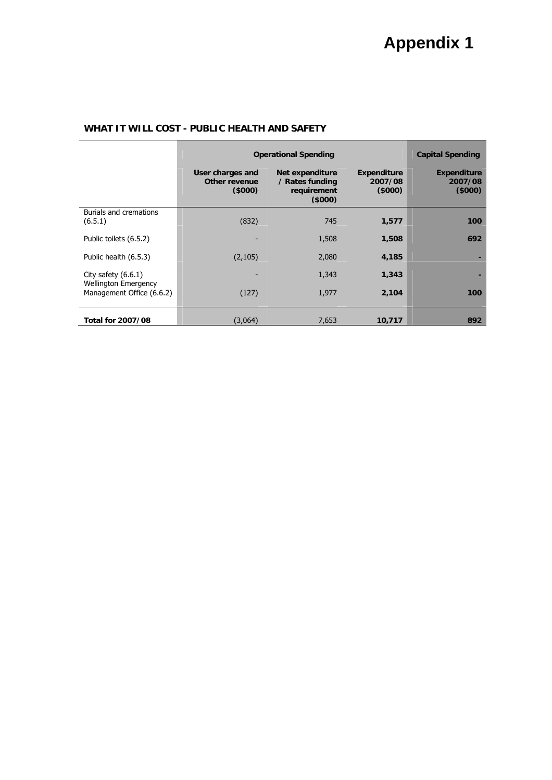|                                                          | <b>Operational Spending</b>                 | <b>Capital Spending</b>                                     |                                         |                                         |
|----------------------------------------------------------|---------------------------------------------|-------------------------------------------------------------|-----------------------------------------|-----------------------------------------|
|                                                          | User charges and<br>Other revenue<br>(5000) | Net expenditure<br>/ Rates funding<br>requirement<br>(5000) | <b>Expenditure</b><br>2007/08<br>(5000) | <b>Expenditure</b><br>2007/08<br>(5000) |
| <b>Burials and cremations</b><br>(6.5.1)                 | (832)                                       | 745                                                         | 1,577                                   | 100                                     |
| Public toilets (6.5.2)                                   |                                             | 1,508                                                       | 1,508                                   | 692                                     |
| Public health (6.5.3)                                    | (2, 105)                                    | 2,080                                                       | 4,185                                   |                                         |
| City safety $(6.6.1)$                                    |                                             | 1,343                                                       | 1,343                                   |                                         |
| <b>Wellington Emergency</b><br>Management Office (6.6.2) | (127)                                       | 1,977                                                       | 2,104                                   | 100                                     |
| Total for 2007/08                                        | (3,064)                                     | 7,653                                                       | 10,717                                  | 892                                     |

## **WHAT IT WILL COST - PUBLIC HEALTH AND SAFETY**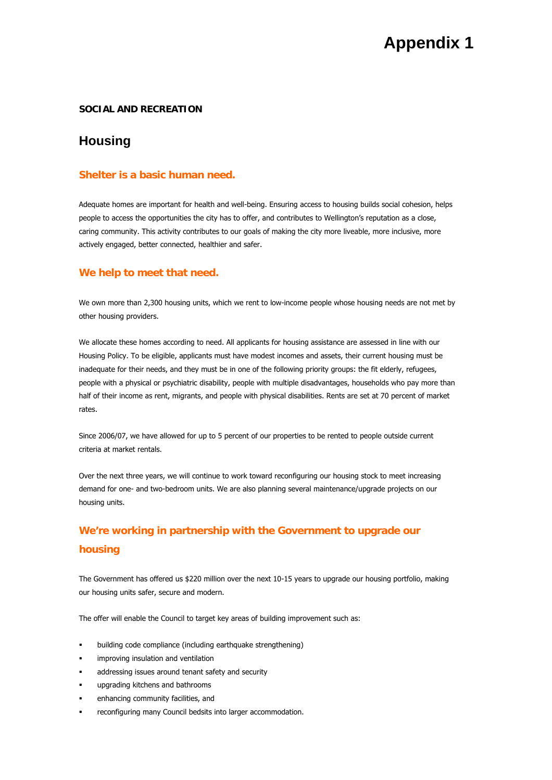#### **SOCIAL AND RECREATION**

## **Housing**

### **Shelter is a basic human need.**

Adequate homes are important for health and well-being. Ensuring access to housing builds social cohesion, helps people to access the opportunities the city has to offer, and contributes to Wellington's reputation as a close, caring community. This activity contributes to our goals of making the city more liveable, more inclusive, more actively engaged, better connected, healthier and safer.

#### **We help to meet that need.**

We own more than 2,300 housing units, which we rent to low-income people whose housing needs are not met by other housing providers.

We allocate these homes according to need. All applicants for housing assistance are assessed in line with our Housing Policy. To be eligible, applicants must have modest incomes and assets, their current housing must be inadequate for their needs, and they must be in one of the following priority groups: the fit elderly, refugees, people with a physical or psychiatric disability, people with multiple disadvantages, households who pay more than half of their income as rent, migrants, and people with physical disabilities. Rents are set at 70 percent of market rates.

Since 2006/07, we have allowed for up to 5 percent of our properties to be rented to people outside current criteria at market rentals.

Over the next three years, we will continue to work toward reconfiguring our housing stock to meet increasing demand for one- and two-bedroom units. We are also planning several maintenance/upgrade projects on our housing units.

# **We're working in partnership with the Government to upgrade our housing**

The Government has offered us \$220 million over the next 10-15 years to upgrade our housing portfolio, making our housing units safer, secure and modern.

The offer will enable the Council to target key areas of building improvement such as:

- building code compliance (including earthquake strengthening)
- improving insulation and ventilation
- addressing issues around tenant safety and security
- upgrading kitchens and bathrooms
- enhancing community facilities, and
- reconfiguring many Council bedsits into larger accommodation.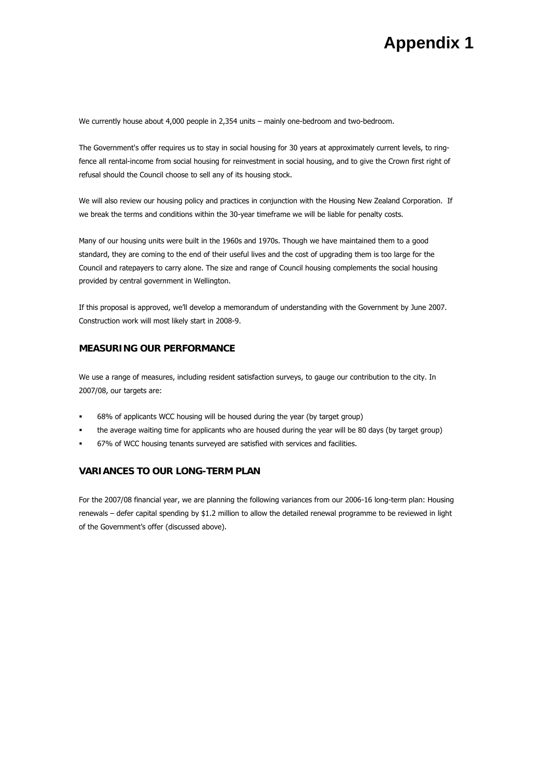We currently house about 4,000 people in 2,354 units – mainly one-bedroom and two-bedroom.

The Government's offer requires us to stay in social housing for 30 years at approximately current levels, to ringfence all rental-income from social housing for reinvestment in social housing, and to give the Crown first right of refusal should the Council choose to sell any of its housing stock.

We will also review our housing policy and practices in conjunction with the Housing New Zealand Corporation. If we break the terms and conditions within the 30-year timeframe we will be liable for penalty costs.

Many of our housing units were built in the 1960s and 1970s. Though we have maintained them to a good standard, they are coming to the end of their useful lives and the cost of upgrading them is too large for the Council and ratepayers to carry alone. The size and range of Council housing complements the social housing provided by central government in Wellington.

If this proposal is approved, we'll develop a memorandum of understanding with the Government by June 2007. Construction work will most likely start in 2008-9.

### **MEASURING OUR PERFORMANCE**

We use a range of measures, including resident satisfaction surveys, to gauge our contribution to the city. In 2007/08, our targets are:

- 68% of applicants WCC housing will be housed during the year (by target group)
- the average waiting time for applicants who are housed during the year will be 80 days (by target group)
- 67% of WCC housing tenants surveyed are satisfied with services and facilities.

### **VARIANCES TO OUR LONG-TERM PLAN**

For the 2007/08 financial year, we are planning the following variances from our 2006-16 long-term plan: Housing renewals – defer capital spending by \$1.2 million to allow the detailed renewal programme to be reviewed in light of the Government's offer (discussed above).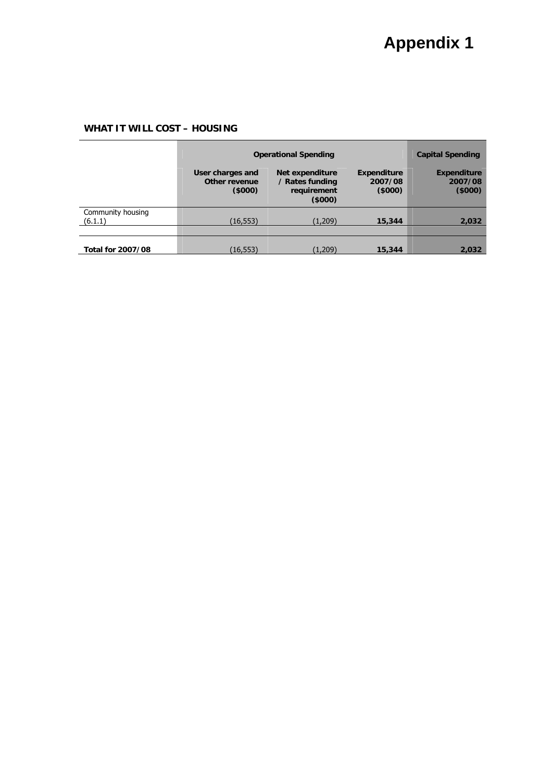## **WHAT IT WILL COST – HOUSING**

|                              | <b>Operational Spending</b>                 |                                                             |                                         | <b>Capital Spending</b>                 |
|------------------------------|---------------------------------------------|-------------------------------------------------------------|-----------------------------------------|-----------------------------------------|
|                              | User charges and<br>Other revenue<br>(5000) | Net expenditure<br>/ Rates funding<br>requirement<br>(5000) | <b>Expenditure</b><br>2007/08<br>(5000) | <b>Expenditure</b><br>2007/08<br>(5000) |
| Community housing<br>(6.1.1) | (16, 553)                                   | (1,209)                                                     | 15,344                                  | 2,032                                   |
|                              |                                             |                                                             |                                         |                                         |
| <b>Total for 2007/08</b>     | (16,553)                                    | (1,209)                                                     | 15,344                                  | 2,032                                   |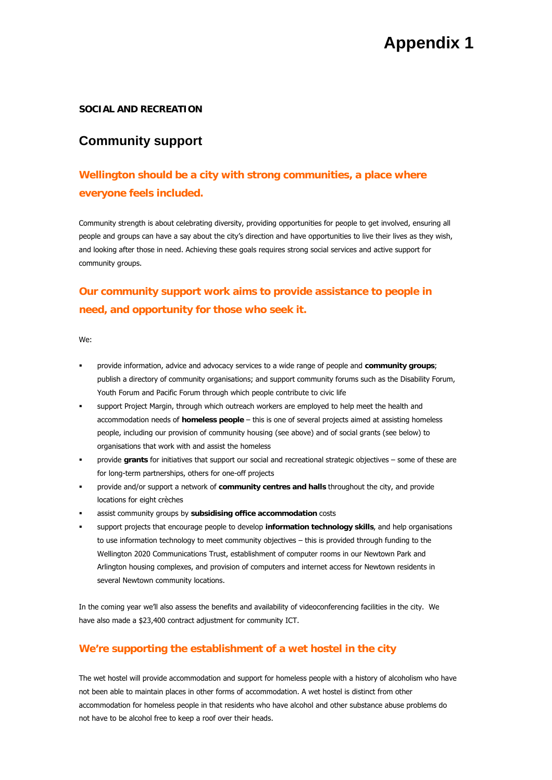#### **SOCIAL AND RECREATION**

## **Community support**

# **Wellington should be a city with strong communities, a place where everyone feels included.**

Community strength is about celebrating diversity, providing opportunities for people to get involved, ensuring all people and groups can have a say about the city's direction and have opportunities to live their lives as they wish, and looking after those in need. Achieving these goals requires strong social services and active support for community groups.

# **Our community support work aims to provide assistance to people in need, and opportunity for those who seek it.**

We:

- provide information, advice and advocacy services to a wide range of people and **community groups**; publish a directory of community organisations; and support community forums such as the Disability Forum, Youth Forum and Pacific Forum through which people contribute to civic life
- support Project Margin, through which outreach workers are employed to help meet the health and accommodation needs of **homeless people** – this is one of several projects aimed at assisting homeless people, including our provision of community housing (see above) and of social grants (see below) to organisations that work with and assist the homeless
- provide **grants** for initiatives that support our social and recreational strategic objectives some of these are for long-term partnerships, others for one-off projects
- provide and/or support a network of **community centres and halls** throughout the city, and provide locations for eight crèches
- assist community groups by **subsidising office accommodation** costs
- support projects that encourage people to develop **information technology skills**, and help organisations to use information technology to meet community objectives – this is provided through funding to the Wellington 2020 Communications Trust, establishment of computer rooms in our Newtown Park and Arlington housing complexes, and provision of computers and internet access for Newtown residents in several Newtown community locations.

In the coming year we'll also assess the benefits and availability of videoconferencing facilities in the city. We have also made a \$23,400 contract adjustment for community ICT.

## **We're supporting the establishment of a wet hostel in the city**

The wet hostel will provide accommodation and support for homeless people with a history of alcoholism who have not been able to maintain places in other forms of accommodation. A wet hostel is distinct from other accommodation for homeless people in that residents who have alcohol and other substance abuse problems do not have to be alcohol free to keep a roof over their heads.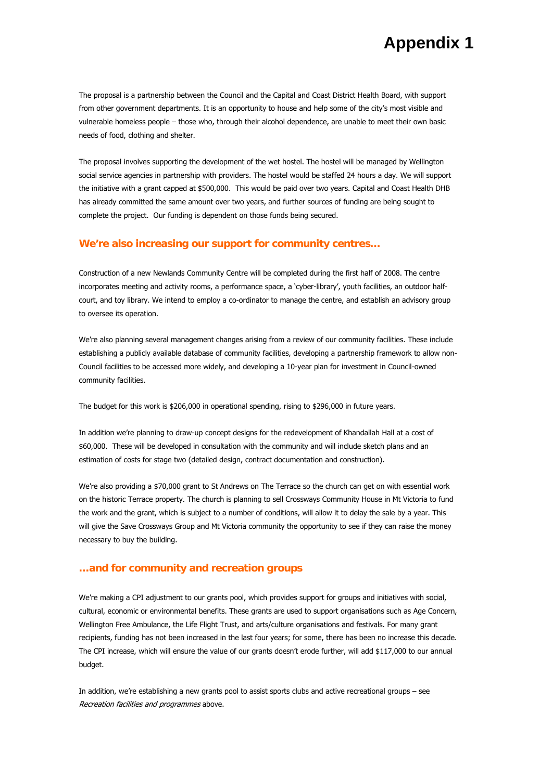The proposal is a partnership between the Council and the Capital and Coast District Health Board, with support from other government departments. It is an opportunity to house and help some of the city's most visible and vulnerable homeless people – those who, through their alcohol dependence, are unable to meet their own basic needs of food, clothing and shelter.

The proposal involves supporting the development of the wet hostel. The hostel will be managed by Wellington social service agencies in partnership with providers. The hostel would be staffed 24 hours a day. We will support the initiative with a grant capped at \$500,000. This would be paid over two years. Capital and Coast Health DHB has already committed the same amount over two years, and further sources of funding are being sought to complete the project. Our funding is dependent on those funds being secured.

#### **We're also increasing our support for community centres…**

Construction of a new Newlands Community Centre will be completed during the first half of 2008. The centre incorporates meeting and activity rooms, a performance space, a 'cyber-library', youth facilities, an outdoor halfcourt, and toy library. We intend to employ a co-ordinator to manage the centre, and establish an advisory group to oversee its operation.

We're also planning several management changes arising from a review of our community facilities. These include establishing a publicly available database of community facilities, developing a partnership framework to allow non-Council facilities to be accessed more widely, and developing a 10-year plan for investment in Council-owned community facilities.

The budget for this work is \$206,000 in operational spending, rising to \$296,000 in future years.

In addition we're planning to draw-up concept designs for the redevelopment of Khandallah Hall at a cost of \$60,000. These will be developed in consultation with the community and will include sketch plans and an estimation of costs for stage two (detailed design, contract documentation and construction).

We're also providing a \$70,000 grant to St Andrews on The Terrace so the church can get on with essential work on the historic Terrace property. The church is planning to sell Crossways Community House in Mt Victoria to fund the work and the grant, which is subject to a number of conditions, will allow it to delay the sale by a year. This will give the Save Crossways Group and Mt Victoria community the opportunity to see if they can raise the money necessary to buy the building.

#### **…and for community and recreation groups**

We're making a CPI adjustment to our grants pool, which provides support for groups and initiatives with social, cultural, economic or environmental benefits. These grants are used to support organisations such as Age Concern, Wellington Free Ambulance, the Life Flight Trust, and arts/culture organisations and festivals. For many grant recipients, funding has not been increased in the last four years; for some, there has been no increase this decade. The CPI increase, which will ensure the value of our grants doesn't erode further, will add \$117,000 to our annual budget.

In addition, we're establishing a new grants pool to assist sports clubs and active recreational groups – see Recreation facilities and programmes above.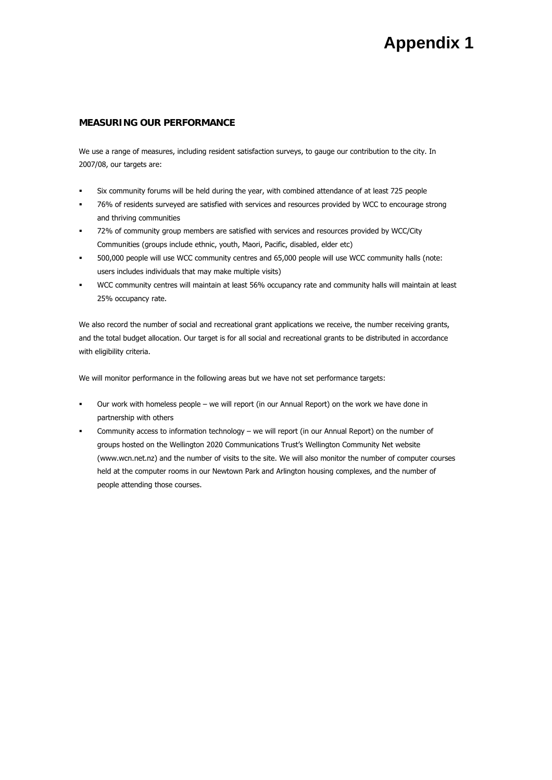#### **MEASURING OUR PERFORMANCE**

We use a range of measures, including resident satisfaction surveys, to gauge our contribution to the city. In 2007/08, our targets are:

- Six community forums will be held during the year, with combined attendance of at least 725 people
- 76% of residents surveyed are satisfied with services and resources provided by WCC to encourage strong and thriving communities
- 72% of community group members are satisfied with services and resources provided by WCC/City Communities (groups include ethnic, youth, Maori, Pacific, disabled, elder etc)
- 500,000 people will use WCC community centres and 65,000 people will use WCC community halls (note: users includes individuals that may make multiple visits)
- WCC community centres will maintain at least 56% occupancy rate and community halls will maintain at least 25% occupancy rate.

We also record the number of social and recreational grant applications we receive, the number receiving grants, and the total budget allocation. Our target is for all social and recreational grants to be distributed in accordance with eligibility criteria.

We will monitor performance in the following areas but we have not set performance targets:

- Our work with homeless people we will report (in our Annual Report) on the work we have done in partnership with others
- Community access to information technology we will report (in our Annual Report) on the number of groups hosted on the Wellington 2020 Communications Trust's Wellington Community Net website (www.wcn.net.nz) and the number of visits to the site. We will also monitor the number of computer courses held at the computer rooms in our Newtown Park and Arlington housing complexes, and the number of people attending those courses.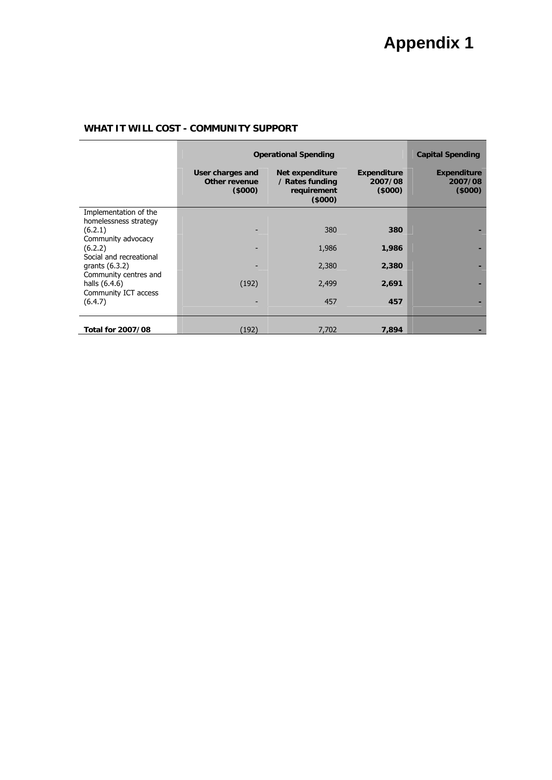## **WHAT IT WILL COST - COMMUNITY SUPPORT**

|                                                                | <b>Operational Spending</b>                 | <b>Capital Spending</b>                                     |                                          |                                         |
|----------------------------------------------------------------|---------------------------------------------|-------------------------------------------------------------|------------------------------------------|-----------------------------------------|
|                                                                | User charges and<br>Other revenue<br>(5000) | Net expenditure<br>/ Rates funding<br>requirement<br>(5000) | <b>Expenditure</b><br>2007/08<br>(\$000) | <b>Expenditure</b><br>2007/08<br>(5000) |
| Implementation of the                                          |                                             |                                                             |                                          |                                         |
| homelessness strategy                                          |                                             | 380                                                         | 380                                      |                                         |
| (6.2.1)<br>Community advocacy                                  |                                             |                                                             |                                          |                                         |
| (6.2.2)                                                        |                                             | 1,986                                                       | 1,986                                    |                                         |
| Social and recreational                                        |                                             |                                                             |                                          |                                         |
| grants $(6.3.2)$                                               |                                             | 2,380                                                       | 2,380                                    |                                         |
| Community centres and<br>halls (6.4.6)<br>Community ICT access | (192)                                       | 2,499                                                       | 2,691                                    |                                         |
| (6.4.7)                                                        |                                             | 457                                                         | 457                                      |                                         |
| <b>Total for 2007/08</b>                                       | (192)                                       | 7,702                                                       | 7,894                                    |                                         |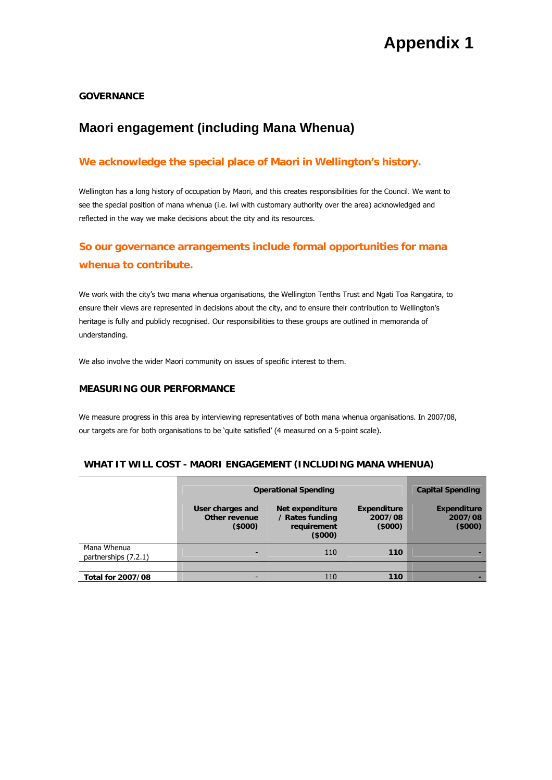### **GOVERNANCE**

# **Maori engagement (including Mana Whenua)**

## **We acknowledge the special place of Maori in Wellington's history.**

Wellington has a long history of occupation by Maori, and this creates responsibilities for the Council. We want to see the special position of mana whenua (i.e. iwi with customary authority over the area) acknowledged and reflected in the way we make decisions about the city and its resources.

# **So our governance arrangements include formal opportunities for mana whenua to contribute.**

We work with the city's two mana whenua organisations, the Wellington Tenths Trust and Ngati Toa Rangatira, to ensure their views are represented in decisions about the city, and to ensure their contribution to Wellington's heritage is fully and publicly recognised. Our responsibilities to these groups are outlined in memoranda of understanding.

We also involve the wider Maori community on issues of specific interest to them.

### **MEASURING OUR PERFORMANCE**

We measure progress in this area by interviewing representatives of both mana whenua organisations. In 2007/08, our targets are for both organisations to be 'quite satisfied' (4 measured on a 5-point scale).

#### **WHAT IT WILL COST - MAORI ENGAGEMENT (INCLUDING MANA WHENUA)**

|                                     | <b>Operational Spending</b>                 |                                                             |                                  | <b>Capital Spending</b>                 |
|-------------------------------------|---------------------------------------------|-------------------------------------------------------------|----------------------------------|-----------------------------------------|
|                                     | User charges and<br>Other revenue<br>(5000) | Net expenditure<br>/ Rates funding<br>requirement<br>(5000) | Expenditure<br>2007/08<br>(5000) | <b>Expenditure</b><br>2007/08<br>(5000) |
| Mana Whenua<br>partnerships (7.2.1) | $\overline{\phantom{a}}$                    | 110                                                         | 110                              |                                         |
|                                     |                                             |                                                             |                                  |                                         |
| <b>Total for 2007/08</b>            | $\overline{\phantom{a}}$                    | 110                                                         | 110                              |                                         |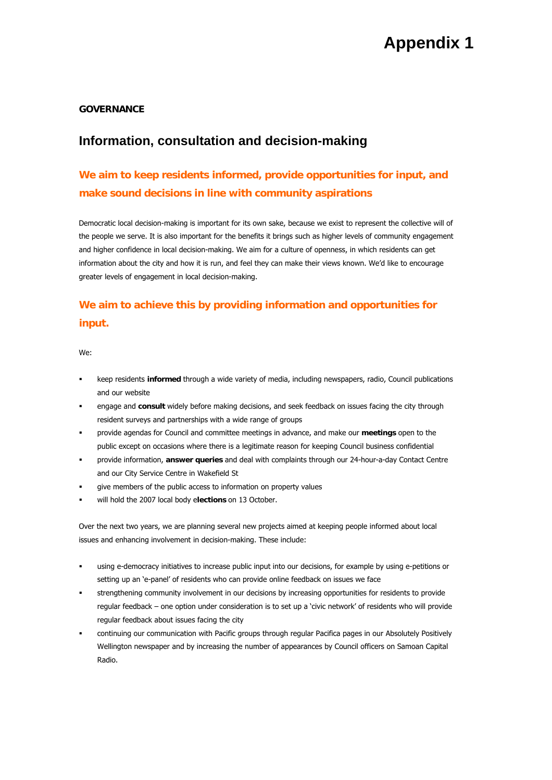### **GOVERNANCE**

# **Information, consultation and decision-making**

# **We aim to keep residents informed, provide opportunities for input, and make sound decisions in line with community aspirations**

Democratic local decision-making is important for its own sake, because we exist to represent the collective will of the people we serve. It is also important for the benefits it brings such as higher levels of community engagement and higher confidence in local decision-making. We aim for a culture of openness, in which residents can get information about the city and how it is run, and feel they can make their views known. We'd like to encourage greater levels of engagement in local decision-making.

# **We aim to achieve this by providing information and opportunities for input.**

We:

- keep residents **informed** through a wide variety of media, including newspapers, radio, Council publications and our website
- engage and **consult** widely before making decisions, and seek feedback on issues facing the city through resident surveys and partnerships with a wide range of groups
- provide agendas for Council and committee meetings in advance, and make our **meetings** open to the public except on occasions where there is a legitimate reason for keeping Council business confidential
- provide information, **answer queries** and deal with complaints through our 24-hour-a-day Contact Centre and our City Service Centre in Wakefield St
- give members of the public access to information on property values
- will hold the 2007 local body e**lections** on 13 October.

Over the next two years, we are planning several new projects aimed at keeping people informed about local issues and enhancing involvement in decision-making. These include:

- using e-democracy initiatives to increase public input into our decisions, for example by using e-petitions or setting up an 'e-panel' of residents who can provide online feedback on issues we face
- strengthening community involvement in our decisions by increasing opportunities for residents to provide regular feedback – one option under consideration is to set up a 'civic network' of residents who will provide regular feedback about issues facing the city
- continuing our communication with Pacific groups through regular Pacifica pages in our Absolutely Positively Wellington newspaper and by increasing the number of appearances by Council officers on Samoan Capital Radio.